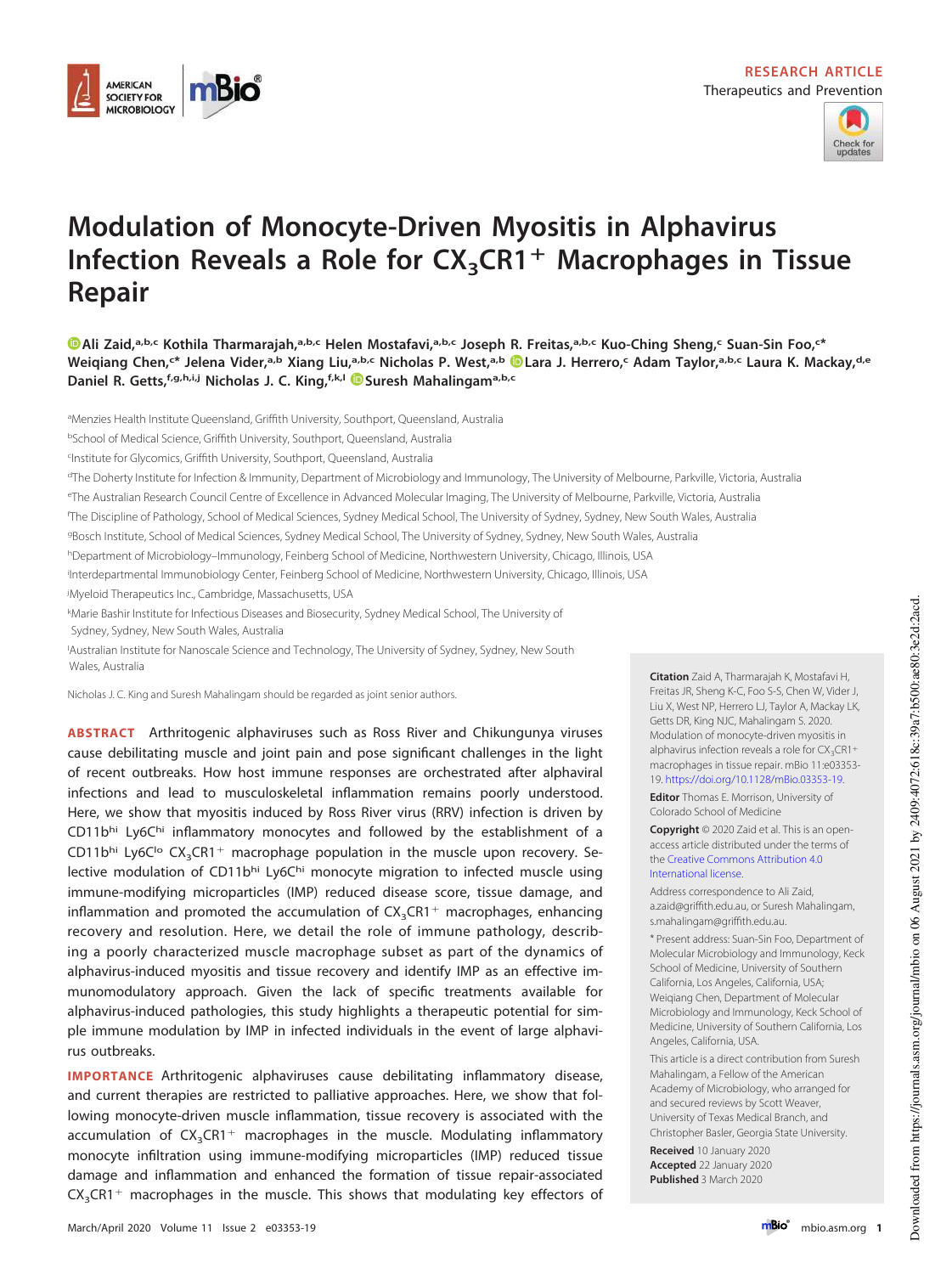



# **Modulation of Monocyte-Driven Myositis in Alphavirus Infection Reveals a Role for CX3CR1**- **Macrophages in Tissue Repair**

**Ali Zaid,a,b,c Kothila Tharmarajah,a,b,c Helen Mostafavi,a,b,c Joseph R. Freitas,a,b,c Kuo-Ching Sheng,<sup>c</sup> Suan-Sin Foo,<sup>c</sup> \*** Weiqiang Chen,<sup>c\*</sup> Jelena Vider,<sup>a,b</sup> Xiang Liu,<sup>a,b,c</sup> Nicholas P. West,<sup>a,b</sup> © Lara J. Herrero,<sup>c</sup> Adam Taylor,<sup>a,b,c</sup> Laura K. Mackay,<sup>d,e</sup> **Daniel R. Getts,f,g,h,i,j Nicholas J. C. King,f,k,l Suresh Mahalingama,b,c**

<sup>a</sup>Menzies Health Institute Queensland, Griffith University, Southport, Queensland, Australia

<sup>b</sup>School of Medical Science, Griffith University, Southport, Queensland, Australia

c Institute for Glycomics, Griffith University, Southport, Queensland, Australia

<sup>d</sup>The Doherty Institute for Infection & Immunity, Department of Microbiology and Immunology, The University of Melbourne, Parkville, Victoria, Australia

<sup>e</sup>The Australian Research Council Centre of Excellence in Advanced Molecular Imaging, The University of Melbourne, Parkville, Victoria, Australia

<sup>f</sup>The Discipline of Pathology, School of Medical Sciences, Sydney Medical School, The University of Sydney, Sydney, New South Wales, Australia

<sup>g</sup>Bosch Institute, School of Medical Sciences, Sydney Medical School, The University of Sydney, Sydney, New South Wales, Australia

hDepartment of Microbiology–Immunology, Feinberg School of Medicine, Northwestern University, Chicago, Illinois, USA

i Interdepartmental Immunobiology Center, Feinberg School of Medicine, Northwestern University, Chicago, Illinois, USA

<sup>j</sup>Myeloid Therapeutics Inc., Cambridge, Massachusetts, USA

<sup>k</sup>Marie Bashir Institute for Infectious Diseases and Biosecurity, Sydney Medical School, The University of Sydney, Sydney, New South Wales, Australia

<sup>l</sup>Australian Institute for Nanoscale Science and Technology, The University of Sydney, Sydney, New South Wales, Australia

Nicholas J. C. King and Suresh Mahalingam should be regarded as joint senior authors.

**ABSTRACT** Arthritogenic alphaviruses such as Ross River and Chikungunya viruses cause debilitating muscle and joint pain and pose significant challenges in the light of recent outbreaks. How host immune responses are orchestrated after alphaviral infections and lead to musculoskeletal inflammation remains poorly understood. Here, we show that myositis induced by Ross River virus (RRV) infection is driven by CD11bhi Ly6Chi inflammatory monocytes and followed by the establishment of a  $CD11b^{\text{hi}}$  Ly6C<sup>1</sup>° CX<sub>3</sub>CR1<sup>+</sup> macrophage population in the muscle upon recovery. Selective modulation of CD11bhi Ly6Chi monocyte migration to infected muscle using immune-modifying microparticles (IMP) reduced disease score, tissue damage, and inflammation and promoted the accumulation of  $CX_{3}CR1^{+}$  macrophages, enhancing recovery and resolution. Here, we detail the role of immune pathology, describing a poorly characterized muscle macrophage subset as part of the dynamics of alphavirus-induced myositis and tissue recovery and identify IMP as an effective immunomodulatory approach. Given the lack of specific treatments available for alphavirus-induced pathologies, this study highlights a therapeutic potential for simple immune modulation by IMP in infected individuals in the event of large alphavirus outbreaks.

**IMPORTANCE** Arthritogenic alphaviruses cause debilitating inflammatory disease, and current therapies are restricted to palliative approaches. Here, we show that following monocyte-driven muscle inflammation, tissue recovery is associated with the accumulation of  $CX_3CR1+$  macrophages in the muscle. Modulating inflammatory monocyte infiltration using immune-modifying microparticles (IMP) reduced tissue damage and inflammation and enhanced the formation of tissue repair-associated  $CX<sub>3</sub>CR1<sup>+</sup>$  macrophages in the muscle. This shows that modulating key effectors of

**Citation** Zaid A, Tharmarajah K, Mostafavi H, Freitas JR, Sheng K-C, Foo S-S, Chen W, Vider J, Liu X, West NP, Herrero LJ, Taylor A, Mackay LK, Getts DR, King NJC, Mahalingam S. 2020. Modulation of monocyte-driven myositis in alphavirus infection reveals a role for  $CX_3CR1+$ macrophages in tissue repair. mBio 11:e03353- 19. https://doi.org/10.1128/mBio.03353-19.

**Editor** Thomas E. Morrison, University of Colorado School of Medicine

**Copyright** © 2020 Zaid et al. This is an openaccess article distributed under the terms of the Creative Commons Attribution 4.0 International license.

Address correspondence to Ali Zaid, a.zaid@griffith.edu.au, or Suresh Mahalingam, s.mahalingam@griffith.edu.au.

\* Present address: Suan-Sin Foo, Department of Molecular Microbiology and Immunology, Keck School of Medicine, University of Southern California, Los Angeles, California, USA; Weiqiang Chen, Department of Molecular Microbiology and Immunology, Keck School of Medicine, University of Southern California, Los Angeles, California, USA.

This article is a direct contribution from Suresh Mahalingam, a Fellow of the American Academy of Microbiology, who arranged for and secured reviews by Scott Weaver, University of Texas Medical Branch, and Christopher Basler, Georgia State University.

**Received** 10 January 2020 **Accepted** 22 January 2020 **Published** 3 March 2020

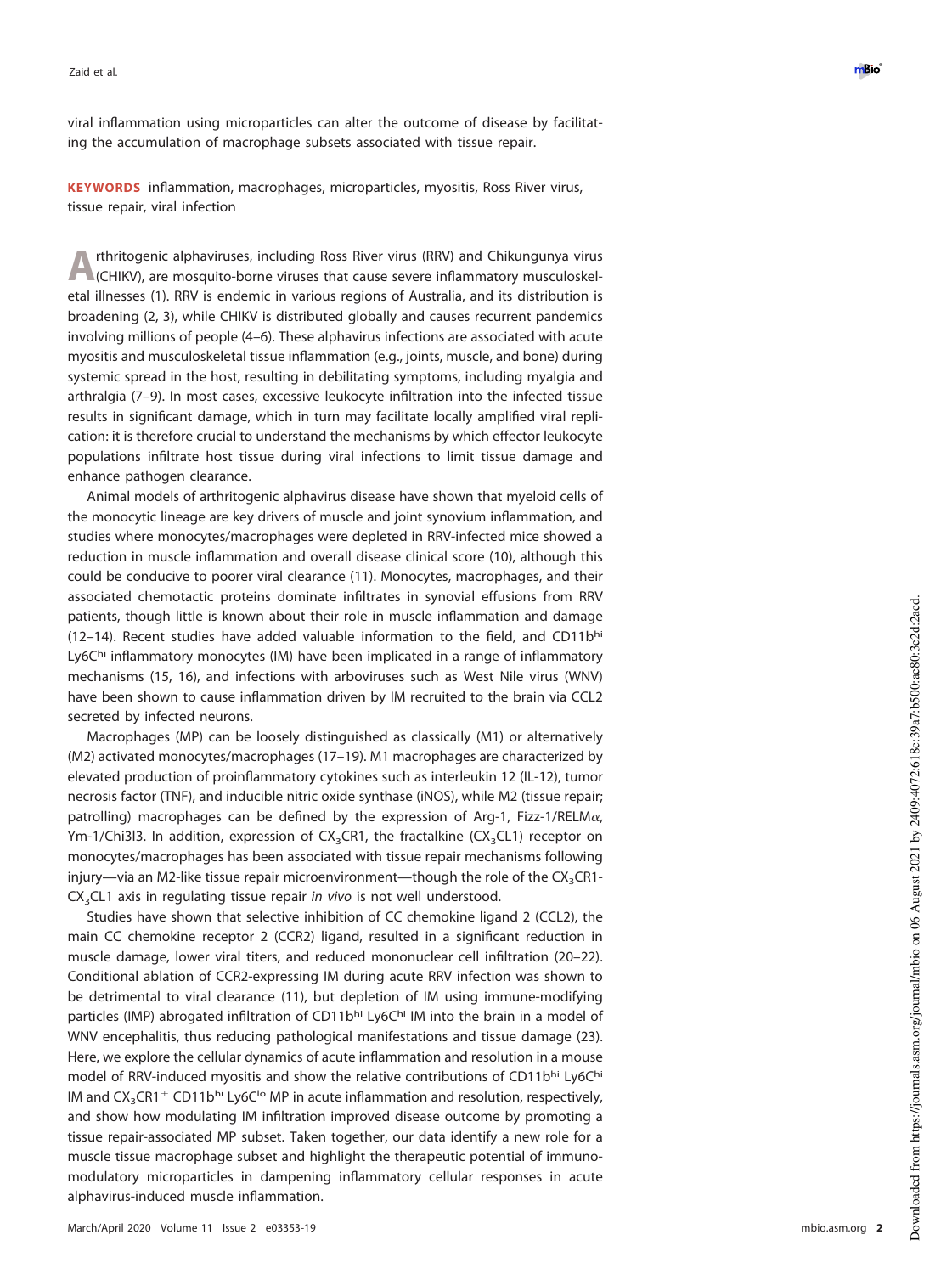viral inflammation using microparticles can alter the outcome of disease by facilitating the accumulation of macrophage subsets associated with tissue repair.

**KEYWORDS** inflammation, macrophages, microparticles, myositis, Ross River virus, tissue repair, viral infection

**A** rthritogenic alphaviruses, including Ross River virus (RRV) and Chikungunya virus (CHIKV), are mosquito-borne viruses that cause severe inflammatory musculoskelrthritogenic alphaviruses, including Ross River virus (RRV) and Chikungunya virus etal illnesses [\(1\)](#page-15-0). RRV is endemic in various regions of Australia, and its distribution is broadening [\(2,](#page-15-1) [3\)](#page-15-2), while CHIKV is distributed globally and causes recurrent pandemics involving millions of people [\(4](#page-15-3)[–](#page-15-4)[6\)](#page-15-5). These alphavirus infections are associated with acute myositis and musculoskeletal tissue inflammation (e.g., joints, muscle, and bone) during systemic spread in the host, resulting in debilitating symptoms, including myalgia and arthralgia [\(7](#page-15-6)[–](#page-15-7)[9\)](#page-15-8). In most cases, excessive leukocyte infiltration into the infected tissue results in significant damage, which in turn may facilitate locally amplified viral replication: it is therefore crucial to understand the mechanisms by which effector leukocyte populations infiltrate host tissue during viral infections to limit tissue damage and enhance pathogen clearance.

Animal models of arthritogenic alphavirus disease have shown that myeloid cells of the monocytic lineage are key drivers of muscle and joint synovium inflammation, and studies where monocytes/macrophages were depleted in RRV-infected mice showed a reduction in muscle inflammation and overall disease clinical score [\(10\)](#page-15-9), although this could be conducive to poorer viral clearance [\(11\)](#page-15-10). Monocytes, macrophages, and their associated chemotactic proteins dominate infiltrates in synovial effusions from RRV patients, though little is known about their role in muscle inflammation and damage [\(12](#page-15-11)[–](#page-15-12)[14\)](#page-15-13). Recent studies have added valuable information to the field, and CD11bhi Ly6Chi inflammatory monocytes (IM) have been implicated in a range of inflammatory mechanisms [\(15,](#page-15-14) [16\)](#page-15-15), and infections with arboviruses such as West Nile virus (WNV) have been shown to cause inflammation driven by IM recruited to the brain via CCL2 secreted by infected neurons.

Macrophages (MP) can be loosely distinguished as classically (M1) or alternatively (M2) activated monocytes/macrophages [\(17](#page-15-16)[–](#page-15-17)[19\)](#page-15-18). M1 macrophages are characterized by elevated production of proinflammatory cytokines such as interleukin 12 (IL-12), tumor necrosis factor (TNF), and inducible nitric oxide synthase (iNOS), while M2 (tissue repair; patrolling) macrophages can be defined by the expression of Arg-1, Fizz-1/RELM $\alpha$ , Ym-1/Chi3l3. In addition, expression of CX<sub>3</sub>CR1, the fractalkine (CX<sub>3</sub>CL1) receptor on monocytes/macrophages has been associated with tissue repair mechanisms following injury—via an M2-like tissue repair microenvironment—though the role of the CX<sub>3</sub>CR1- $CX<sub>3</sub>CL1$  axis in regulating tissue repair *in vivo* is not well understood.

Studies have shown that selective inhibition of CC chemokine ligand 2 (CCL2), the main CC chemokine receptor 2 (CCR2) ligand, resulted in a significant reduction in muscle damage, lower viral titers, and reduced mononuclear cell infiltration [\(20](#page-15-19)[–](#page-15-20)[22\)](#page-15-21). Conditional ablation of CCR2-expressing IM during acute RRV infection was shown to be detrimental to viral clearance [\(11\)](#page-15-10), but depletion of IM using immune-modifying particles (IMP) abrogated infiltration of CD11bhi Ly6Chi IM into the brain in a model of WNV encephalitis, thus reducing pathological manifestations and tissue damage [\(23\)](#page-15-22). Here, we explore the cellular dynamics of acute inflammation and resolution in a mouse model of RRV-induced myositis and show the relative contributions of CD11bhi Ly6Chi IM and  $\text{CX}_3\text{CR1}^+$  CD11b<sup>hi</sup> Ly6C<sup>Io</sup> MP in acute inflammation and resolution, respectively, and show how modulating IM infiltration improved disease outcome by promoting a tissue repair-associated MP subset. Taken together, our data identify a new role for a muscle tissue macrophage subset and highlight the therapeutic potential of immunomodulatory microparticles in dampening inflammatory cellular responses in acute alphavirus-induced muscle inflammation.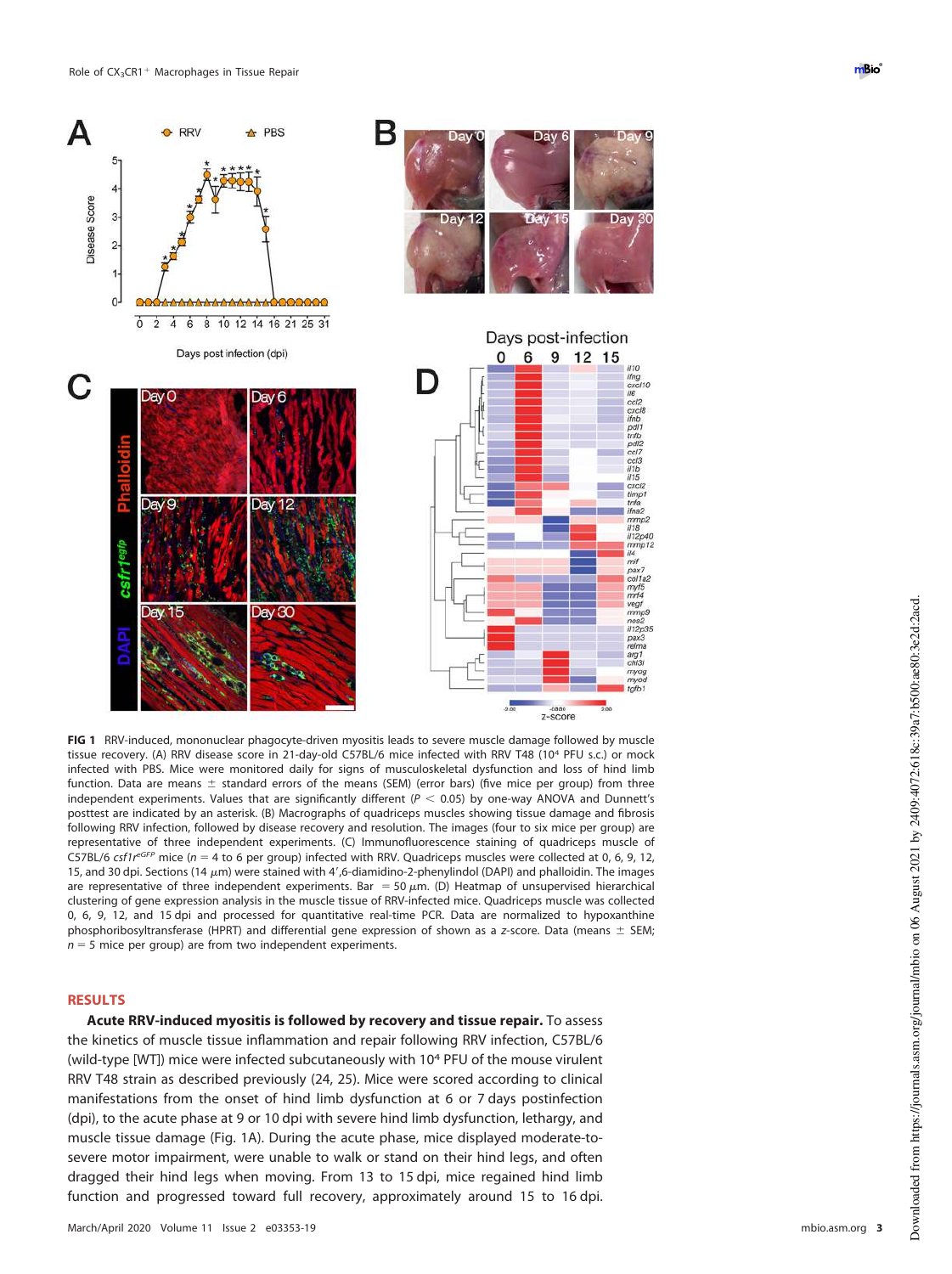

<span id="page-2-0"></span>**FIG 1** RRV-induced, mononuclear phagocyte-driven myositis leads to severe muscle damage followed by muscle tissue recovery. (A) RRV disease score in 21-day-old C57BL/6 mice infected with RRV T48 (10<sup>4</sup> PFU s.c.) or mock infected with PBS. Mice were monitored daily for signs of musculoskeletal dysfunction and loss of hind limb function. Data are means  $\pm$  standard errors of the means (SEM) (error bars) (five mice per group) from three independent experiments. Values that are significantly different ( $P < 0.05$ ) by one-way ANOVA and Dunnett's posttest are indicated by an asterisk. (B) Macrographs of quadriceps muscles showing tissue damage and fibrosis following RRV infection, followed by disease recovery and resolution. The images (four to six mice per group) are representative of three independent experiments. (C) Immunofluorescence staining of quadriceps muscle of C57BL/6 csf1 $r^{eGFP}$  mice (n = 4 to 6 per group) infected with RRV. Quadriceps muscles were collected at 0, 6, 9, 12, 15, and 30 dpi. Sections (14  $\mu$ m) were stained with 4',6-diamidino-2-phenylindol (DAPI) and phalloidin. The images are representative of three independent experiments. Bar = 50  $\mu$ m. (D) Heatmap of unsupervised hierarchical clustering of gene expression analysis in the muscle tissue of RRV-infected mice. Quadriceps muscle was collected 0, 6, 9, 12, and 15 dpi and processed for quantitative real-time PCR. Data are normalized to hypoxanthine phosphoribosyltransferase (HPRT) and differential gene expression of shown as a z-score. Data (means  $\pm$  SEM;  $n = 5$  mice per group) are from two independent experiments.

## **RESULTS**

**Acute RRV-induced myositis is followed by recovery and tissue repair.** To assess the kinetics of muscle tissue inflammation and repair following RRV infection, C57BL/6 (wild-type [WT]) mice were infected subcutaneously with 10<sup>4</sup> PFU of the mouse virulent RRV T48 strain as described previously [\(24,](#page-16-0) [25\)](#page-16-1). Mice were scored according to clinical manifestations from the onset of hind limb dysfunction at 6 or 7 days postinfection (dpi), to the acute phase at 9 or 10 dpi with severe hind limb dysfunction, lethargy, and muscle tissue damage [\(Fig. 1A\)](#page-2-0). During the acute phase, mice displayed moderate-tosevere motor impairment, were unable to walk or stand on their hind legs, and often dragged their hind legs when moving. From 13 to 15 dpi, mice regained hind limb function and progressed toward full recovery, approximately around 15 to 16 dpi.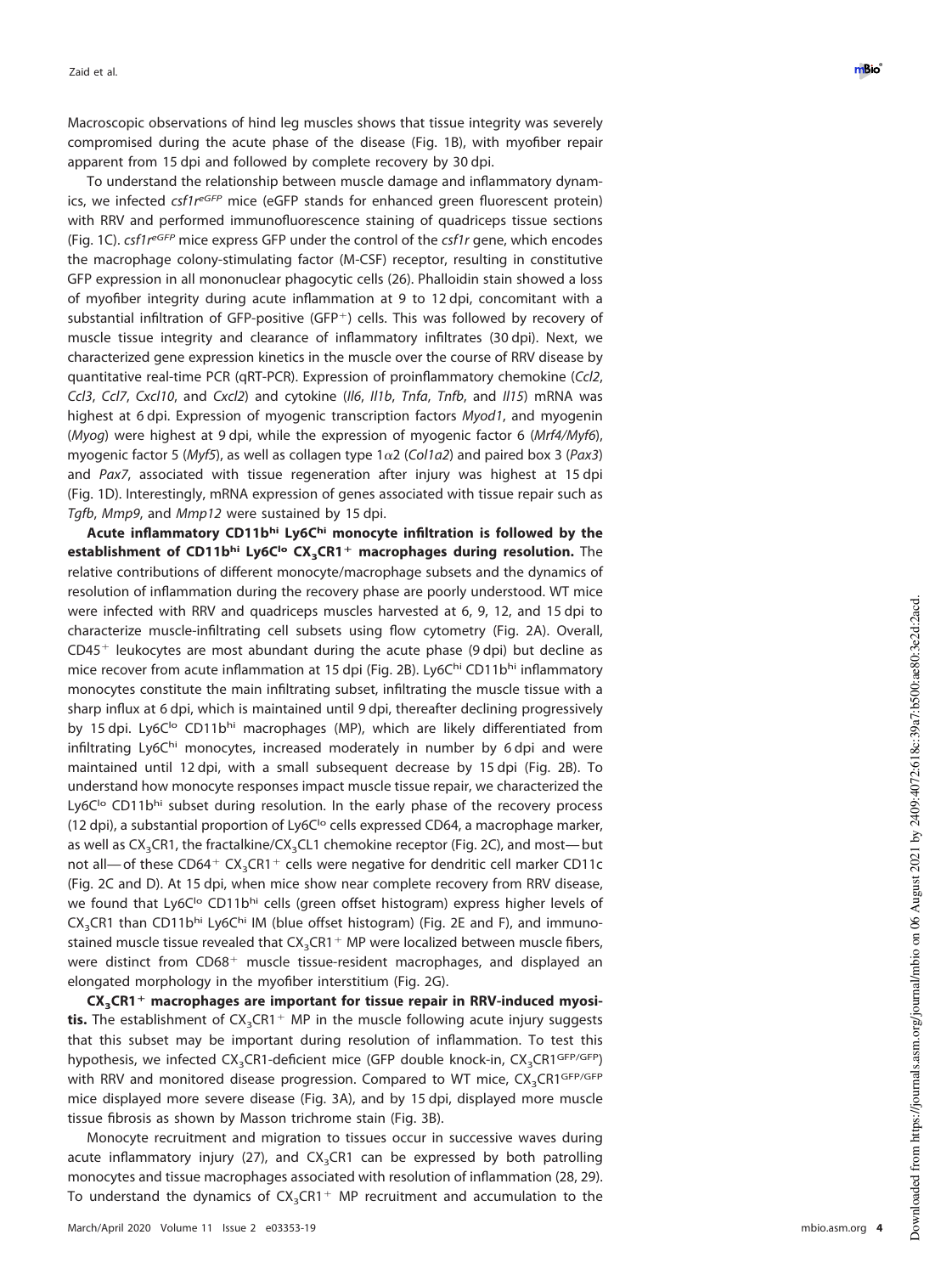Macroscopic observations of hind leg muscles shows that tissue integrity was severely compromised during the acute phase of the disease [\(Fig. 1B\)](#page-2-0), with myofiber repair apparent from 15 dpi and followed by complete recovery by 30 dpi.

To understand the relationship between muscle damage and inflammatory dynamics, we infected csf1reGFP mice (eGFP stands for enhanced green fluorescent protein) with RRV and performed immunofluorescence staining of quadriceps tissue sections [\(Fig. 1C\)](#page-2-0). csf1 $r^{eGFP}$  mice express GFP under the control of the csf1r gene, which encodes the macrophage colony-stimulating factor (M-CSF) receptor, resulting in constitutive GFP expression in all mononuclear phagocytic cells [\(26\)](#page-16-2). Phalloidin stain showed a loss of myofiber integrity during acute inflammation at 9 to 12 dpi, concomitant with a substantial infiltration of GFP-positive (GFP -) cells. This was followed by recovery of muscle tissue integrity and clearance of inflammatory infiltrates (30 dpi). Next, we characterized gene expression kinetics in the muscle over the course of RRV disease by quantitative real-time PCR (qRT-PCR). Expression of proinflammatory chemokine (Ccl2 , Ccl3, Ccl7, Cxcl10, and Cxcl2) and cytokine (II6, II1b, Tnfa, Tnfb, and II15) mRNA was highest at 6 dpi. Expression of myogenic transcription factors Myod1, and myogenin (Myog) were highest at 9 dpi, while the expression of myogenic factor 6 (Mrf4/Myf6), myogenic factor 5 (Myf5), as well as collagen type  $1\alpha2$  (Col1a2) and paired box 3 (Pax3) and Pax7, associated with tissue regeneration after injury was highest at 15 dpi [\(Fig. 1D\)](#page-2-0). Interestingly, mRNA expression of genes associated with tissue repair such as Tgfb, Mmp9, and Mmp12 were sustained by 15 dpi.

**Acute inflammatory CD11bhi Ly6Chi monocyte infiltration is followed by the establishment of CD11bhi Ly6Clo CX <sup>3</sup>CR1** - **macrophages during resolution.** The relative contributions of different monocyte/macrophage subsets and the dynamics of resolution of inflammation during the recovery phase are poorly understood. WT mice were infected with RRV and quadriceps muscles harvested at 6, 9, 12, and 15 dpi to characterize muscle-infiltrating cell subsets using flow cytometry [\(Fig. 2A\)](#page-4-0). Overall, CD45<sup>+</sup> leukocytes are most abundant during the acute phase (9 dpi) but decline as mice recover from acute inflammation at 15 dpi [\(Fig. 2B\)](#page-4-0). Ly6Chi CD11bhi inflammatory monocytes constitute the main infiltrating subset, infiltrating the muscle tissue with a sharp influx at 6 dpi, which is maintained until 9 dpi, thereafter declining progressively by 15 dpi. Ly6C<sup>Io</sup> CD11bhi macrophages (MP), which are likely differentiated from infiltrating Ly6Ch<sup>i</sup> monocytes, increased moderately in number by 6 dpi and were maintained until 12 dpi, with a small subsequent decrease by 15 dpi [\(Fig. 2B\)](#page-4-0). To understand how monocyte responses impact muscle tissue repair, we characterized the Ly6C<sup>Io</sup> CD11bhi subset during resolution. In the early phase of the recovery process (12 dpi), a substantial proportion of Ly6C $\log$  cells expressed CD64, a macrophage marker, as well as CX<sub>3</sub>CR1, the fractalkine/CX<sub>3</sub>CL1 chemokine receptor [\(Fig. 2C\)](#page-4-0), and most— but not all— of these  $CD64^+$   $CX_3$ CR1<sup>+</sup> cells were negative for dendritic cell marker CD11c [\(Fig. 2C](#page-4-0) and [D\)](#page-4-0). At 15 dpi, when mice show near complete recovery from RRV disease, we found that Ly6C<sup>Io</sup> CD11b<sup>hi</sup> cells (green offset histogram) express higher levels of CX<sub>3</sub>CR1 than CD11bhi Ly6Chi IM (blue offset histogram) [\(Fig. 2E](#page-4-0) and [F\)](#page-4-0), and immunostained muscle tissue revealed that  $CX_{3}CR1+$  MP were localized between muscle fibers, were distinct from CD68<sup>+</sup> muscle tissue-resident macrophages, and displayed an elongated morphology in the myofiber interstitium [\(Fig. 2G\)](#page-4-0).

**CX <sup>3</sup>CR1** - **macrophages are important for tissue repair in RRV-induced myosi**tis. The establishment of CX<sub>3</sub>CR1<sup>+</sup> MP in the muscle following acute injury suggests that this subset may be important during resolution of inflammation. To test this hypothesis, we infected CX<sub>3</sub>CR1-deficient mice (GFP double knock-in, CX<sub>3</sub>CR1<sup>GFP/GFP</sup>) with RRV and monitored disease progression. Compared to WT mice,  $\text{CX}_3 \text{CR1}^{\text{GFP/GFP}}$ mice displayed more severe disease [\(Fig. 3A\)](#page-5-0), and by 15 dpi, displayed more muscle tissue fibrosis as shown by Masson trichrome stain [\(Fig. 3B\)](#page-5-0).

Monocyte recruitment and migration to tissues occur in successive waves during acute inflammatory injury [\(27\)](#page-16-3), and CX<sub>3</sub>CR1 can be expressed by both patrolling monocytes and tissue macrophages associated with resolution of inflammation [\(28,](#page-16-4) [29\)](#page-16-5). To understand the dynamics of  $CX_3CR1+$  MP recruitment and accumulation to the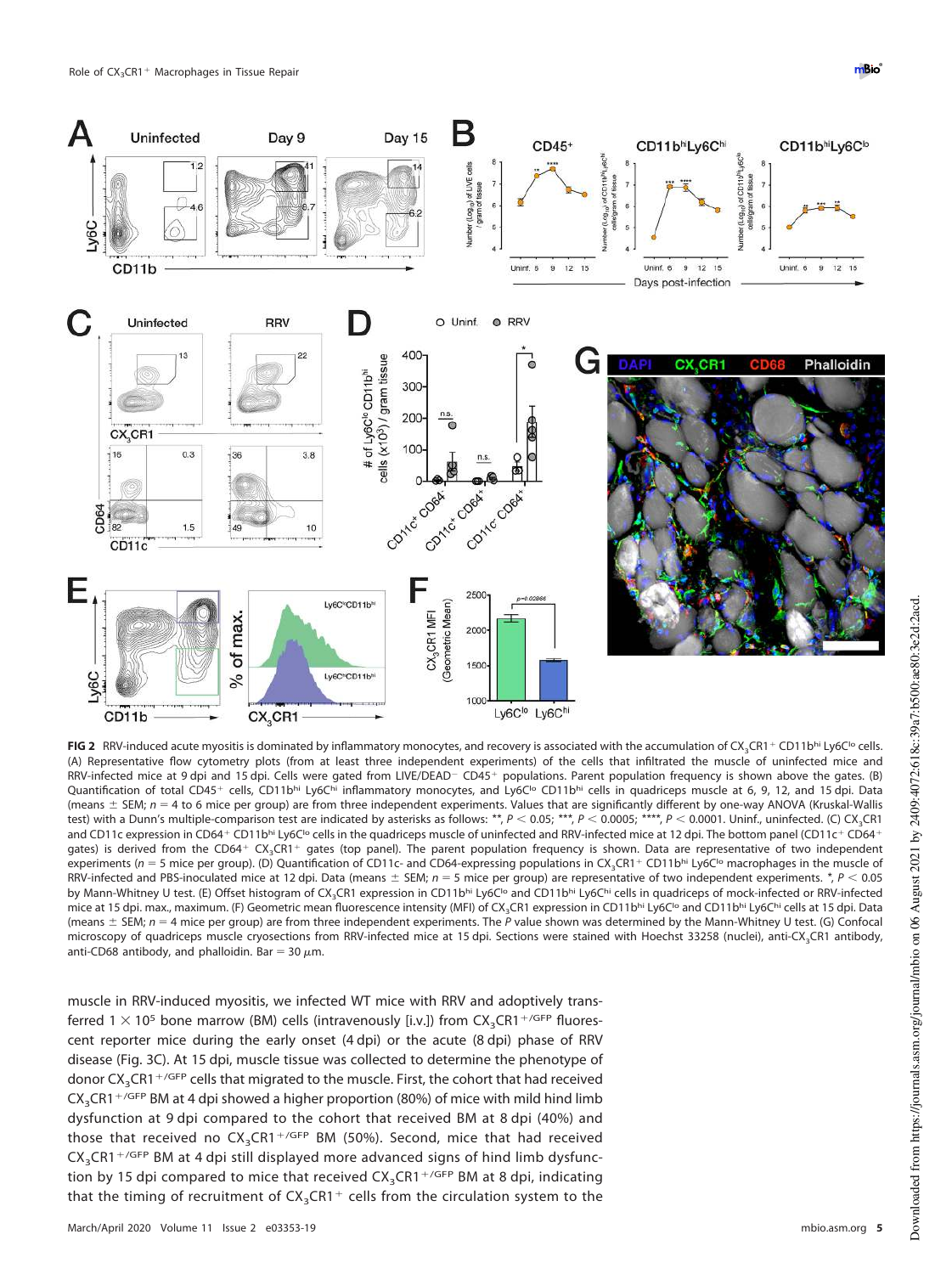

<span id="page-4-0"></span>FIG 2 RRV-induced acute myositis is dominated by inflammatory monocytes, and recovery is associated with the accumulation of CX<sub>3</sub>CR1<sup>+</sup> CD11b<sup>hi</sup> Ly6C<sup>1</sup><sup>o</sup> cells. (A) Representative flow cytometry plots (from at least three independent experiments) of the cells that infiltrated the muscle of uninfected mice and RRV-infected mice at 9 dpi and 15 dpi. Cells were gated from LIVE/DEAD<sup>-</sup> CD45+ populations. Parent population frequency is shown above the gates. (B) Quantification of total CD45<sup>+</sup> cells, CD11b<sup>hi</sup> Ly6Chi inflammatory monocytes, and Ly6C<sup>1</sup>° CD11bhi cells in quadriceps muscle at 6, 9, 12, and 15 dpi. Data (means  $\pm$  SEM;  $n = 4$  to 6 mice per group) are from three independent experiments. Values that are significantly different by one-way ANOVA (Kruskal-Wallis test) with a Dunn's multiple-comparison test are indicated by asterisks as follows: \*\*, P < 0.05; \*\*\*, P < 0.0005; \*\*\*\*, P < 0.0001. Uninf., uninfected. (C) CX<sub>3</sub>CR1 and CD11c expression in CD64<sup>+</sup> CD11b<sup>hi</sup> Ly6C<sup>1</sup>° cells in the quadriceps muscle of uninfected and RRV-infected mice at 12 dpi. The bottom panel (CD11c<sup>+</sup> CD64<sup>+</sup> gates) is derived from the CD64<sup>+</sup> CX<sub>3</sub>CR1<sup>+</sup> gates (top panel). The parent population frequency is shown. Data are representative of two independent experiments ( $n = 5$  mice per group). (D) Quantification of CD11c- and CD64-expressing populations in CX<sub>3</sub>CR1<sup>+</sup> CD11b<sup>hi</sup> Ly6C<sup>1</sup>° macrophages in the muscle of RRV-infected and PBS-inoculated mice at 12 dpi. Data (means  $\pm$  SEM; n = 5 mice per group) are representative of two independent experiments. *\**, P < 0.05 by Mann-Whitney U test. (E) Offset histogram of CX<sub>3</sub>CR1 expression in CD11b<sup>hi</sup> Ly6C<sup>lo</sup> and CD11b<sup>hi</sup> Ly6C<sup>hi</sup> cells in quadriceps of mock-infected or RRV-infected mice at 15 dpi. max., maximum. (F) Geometric mean fluorescence intensity (MFI) of CX<sub>3</sub>CR1 expression in CD11bhi Ly6C<sup>Io</sup> and CD11bhi Ly6C<sup>I</sup>i cells at 15 dpi. Data (means  $\pm$  SEM;  $n = 4$  mice per group) are from three independent experiments. The P value shown was determined by the Mann-Whitney U test. (G) Confocal microscopy of quadriceps muscle cryosections from RRV-infected mice at 15 dpi. Sections were stained with Hoechst 33258 (nuclei), anti-CX<sub>3</sub>CR1 antibody, anti-CD68 antibody, and phalloidin. Bar = 30  $\mu$ m.

muscle in RRV-induced myositis, we infected WT mice with RRV and adoptively transferred  $1 \times 10^5$  bone marrow (BM) cells (intravenously [i.v.]) from  $\text{CX}_3\text{CR1}^{\text{+/GFP}}$  fluorescent reporter mice during the early onset (4 dpi) or the acute (8 dpi) phase of RRV disease [\(Fig. 3C\)](#page-5-0). At 15 dpi, muscle tissue was collected to determine the phenotype of donor  $CX_{3}$ CR1<sup>+/GFP</sup> cells that migrated to the muscle. First, the cohort that had received  $\text{CX}_3\text{CR1}^{\,+\text{/GFP}}$  BM at 4 dpi showed a higher proportion (80%) of mice with mild hind limb dysfunction at 9 dpi compared to the cohort that received BM at 8 dpi (40%) and those that received no  $CX_3CR1+/GFP}$  BM (50%). Second, mice that had received  $CX_{3}CR1 + /GFP$  BM at 4 dpi still displayed more advanced signs of hind limb dysfunction by 15 dpi compared to mice that received  $\text{CX}_3\text{CR1}^{\,+\,\prime\text{GFP}}$  BM at 8 dpi, indicating that the timing of recruitment of  $\text{CX}_3\text{CR1}^+$  cells from the circulation system to the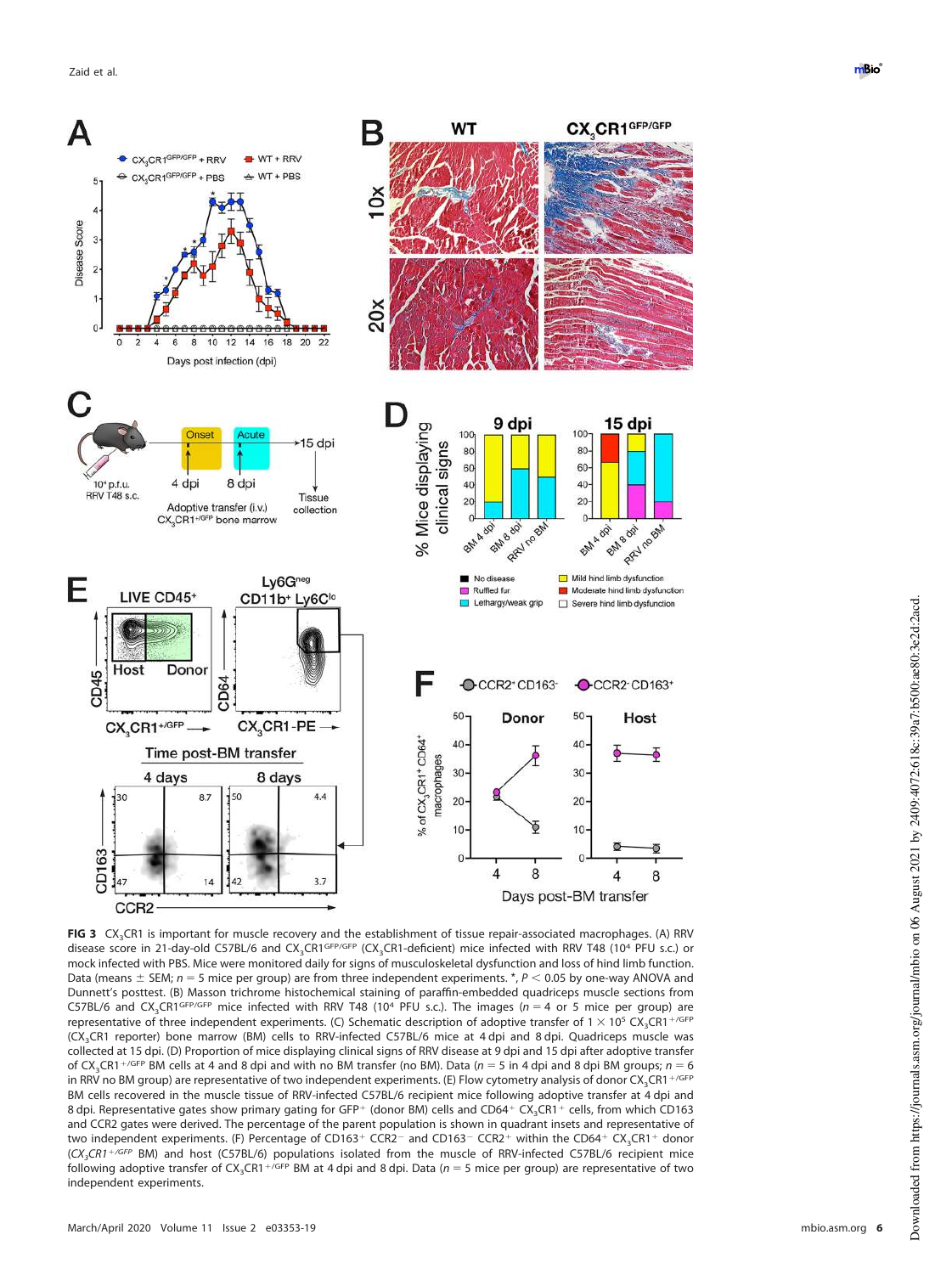![](_page_5_Figure_1.jpeg)

<span id="page-5-0"></span>**FIG 3** CX<sub>3</sub>CR1 is important for muscle recovery and the establishment of tissue repair-associated macrophages. (A) RRV disease score in 21-day-old C57BL/6 and CX<sub>3</sub>CR1<sup>GFP/GFP</sup> (CX<sub>3</sub>CR1-deficient) mice infected with RRV T48 (10<sup>4</sup> PFU s.c.) or mock infected with PBS. Mice were monitored daily for signs of musculoskeletal dysfunction and loss of hind limb function. Data (means  $\pm$  SEM;  $n = 5$  mice per group) are from three independent experiments. \*,  $P < 0.05$  by one-way ANOVA and Dunnett's posttest. (B) Masson trichrome histochemical staining of paraffin-embedded quadriceps muscle sections from C57BL/6 and CX<sub>3</sub>CR1<sup>GFP/GFP</sup> mice infected with RRV T48 (10<sup>4</sup> PFU s.c.). The images ( $n = 4$  or 5 mice per group) are representative of three independent experiments. (C) Schematic description of adoptive transfer of 1  $\times$  10<sup>5</sup> CX<sub>3</sub>CR1<sup>+/GFP</sup> (CX3CR1 reporter) bone marrow (BM) cells to RRV-infected C57BL/6 mice at 4 dpi and 8 dpi. Quadriceps muscle was collected at 15 dpi. (D) Proportion of mice displaying clinical signs of RRV disease at 9 dpi and 15 dpi after adoptive transfer of CX<sub>3</sub>CR1<sup>+/GFP</sup> BM cells at 4 and 8 dpi and with no BM transfer (no BM). Data ( $n = 5$  in 4 dpi and 8 dpi BM groups;  $n = 6$ in RRV no BM group) are representative of two independent experiments. (E) Flow cytometry analysis of donor CX<sub>3</sub>CR1<sup>+/GFP</sup> BM cells recovered in the muscle tissue of RRV-infected C57BL/6 recipient mice following adoptive transfer at 4 dpi and 8 dpi. Representative gates show primary gating for GFP+ (donor BM) cells and CD64+ CX<sub>3</sub>CR1+ cells, from which CD163 and CCR2 gates were derived. The percentage of the parent population is shown in quadrant insets and representative of two independent experiments. (F) Percentage of CD163<sup>+</sup> CCR2<sup>-</sup> and CD163<sup>-</sup> CCR2<sup>+</sup> within the CD64<sup>+</sup> CX<sub>3</sub>CR1<sup>+</sup> donor (CX<sub>3</sub>CR1<sup>+/GFP</sup> BM) and host (C57BL/6) populations isolated from the muscle of RRV-infected C57BL/6 recipient mice following adoptive transfer of CX<sub>3</sub>CR1<sup>+/GFP</sup> BM at 4 dpi and 8 dpi. Data ( $n = 5$  mice per group) are representative of two independent experiments.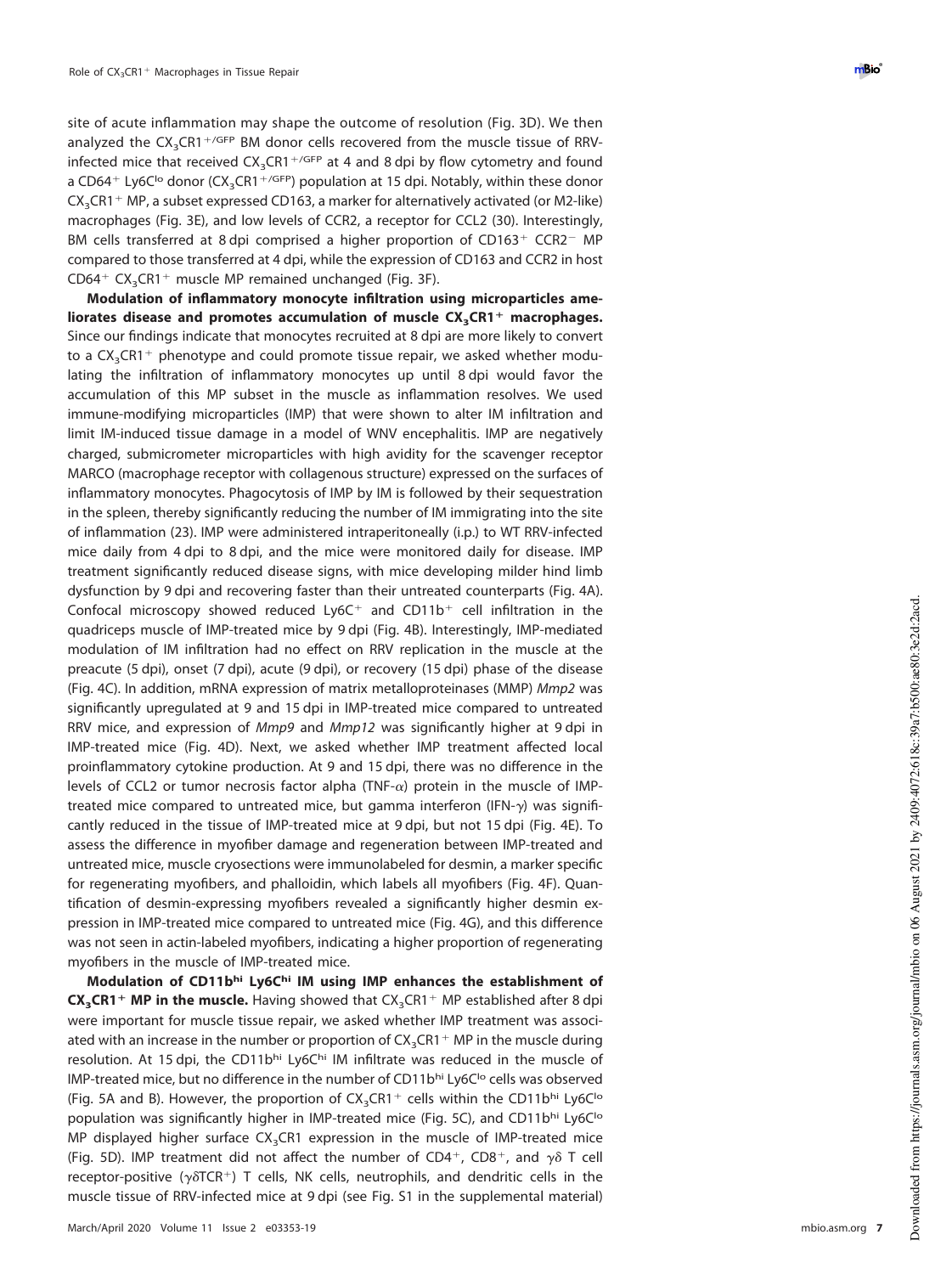site of acute inflammation may shape the outcome of resolution [\(Fig. 3D\)](#page-5-0). We then analyzed the  $CX_{3}CR1 + / GFP$  BM donor cells recovered from the muscle tissue of RRVinfected mice that received  $\text{CX}_3\text{CR1}^{\,+\,\}/\text{GFP}}$  at 4 and 8 dpi by flow cytometry and found a CD64<sup>+</sup> Ly6C<sup>1</sup>° donor (CX<sub>3</sub>CR1<sup>+/GFP</sup>) population at 15 dpi. Notably, within these donor  $CX<sub>3</sub>CR1<sup>+</sup> MP$ , a subset expressed CD163, a marker for alternatively activated (or M2-like) macrophages [\(Fig. 3E\)](#page-5-0), and low levels of CCR2, a receptor for CCL2 [\(30\)](#page-16-6). Interestingly, BM cells transferred at 8 dpi comprised a higher proportion of CD163<sup>+</sup> CCR2<sup>-</sup> MP compared to those transferred at 4 dpi, while the expression of CD163 and CCR2 in host  $CD64+ CX_3CR1+$  muscle MP remained unchanged [\(Fig. 3F\)](#page-5-0).

**Modulation of inflammatory monocyte infiltration using microparticles ameliorates disease and promotes accumulation of muscle CX3CR1**- **macrophages.** Since our findings indicate that monocytes recruited at 8 dpi are more likely to convert to a  $\textsf{CX}_3\textsf{CR1}^+$  phenotype and could promote tissue repair, we asked whether modulating the infiltration of inflammatory monocytes up until 8 dpi would favor the accumulation of this MP subset in the muscle as inflammation resolves. We used immune-modifying microparticles (IMP) that were shown to alter IM infiltration and limit IM-induced tissue damage in a model of WNV encephalitis. IMP are negatively charged, submicrometer microparticles with high avidity for the scavenger receptor MARCO (macrophage receptor with collagenous structure) expressed on the surfaces of inflammatory monocytes. Phagocytosis of IMP by IM is followed by their sequestration in the spleen, thereby significantly reducing the number of IM immigrating into the site of inflammation [\(23\)](#page-15-22). IMP were administered intraperitoneally (i.p.) to WT RRV-infected mice daily from 4 dpi to 8 dpi, and the mice were monitored daily for disease. IMP treatment significantly reduced disease signs, with mice developing milder hind limb dysfunction by 9 dpi and recovering faster than their untreated counterparts [\(Fig. 4A\)](#page-7-0). Confocal microscopy showed reduced  $Ly6C<sup>+</sup>$  and  $CD11b<sup>+</sup>$  cell infiltration in the quadriceps muscle of IMP-treated mice by 9 dpi [\(Fig. 4B\)](#page-7-0). Interestingly, IMP-mediated modulation of IM infiltration had no effect on RRV replication in the muscle at the preacute (5 dpi), onset (7 dpi), acute (9 dpi), or recovery (15 dpi) phase of the disease [\(Fig. 4C\)](#page-7-0). In addition, mRNA expression of matrix metalloproteinases (MMP) Mmp2 was significantly upregulated at 9 and 15 dpi in IMP-treated mice compared to untreated RRV mice, and expression of Mmp9 and Mmp12 was significantly higher at 9 dpi in IMP-treated mice [\(Fig. 4D\)](#page-7-0). Next, we asked whether IMP treatment affected local proinflammatory cytokine production. At 9 and 15 dpi, there was no difference in the levels of CCL2 or tumor necrosis factor alpha  $(TNF-\alpha)$  protein in the muscle of IMPtreated mice compared to untreated mice, but gamma interferon (IFN- $\gamma$ ) was significantly reduced in the tissue of IMP-treated mice at 9 dpi, but not 15 dpi [\(Fig. 4E\)](#page-7-0). To assess the difference in myofiber damage and regeneration between IMP-treated and untreated mice, muscle cryosections were immunolabeled for desmin, a marker specific for regenerating myofibers, and phalloidin, which labels all myofibers [\(Fig. 4F\)](#page-7-0). Quantification of desmin-expressing myofibers revealed a significantly higher desmin expression in IMP-treated mice compared to untreated mice [\(Fig. 4G\)](#page-7-0), and this difference was not seen in actin-labeled myofibers, indicating a higher proportion of regenerating myofibers in the muscle of IMP-treated mice.

**Modulation of CD11bhi Ly6Chi IM using IMP enhances the establishment of CX<sub>3</sub>CR1<sup>+</sup> MP in the muscle.** Having showed that CX<sub>3</sub>CR1<sup>+</sup> MP established after 8 dpi were important for muscle tissue repair, we asked whether IMP treatment was associated with an increase in the number or proportion of  $\text{CX}_3\text{CR1}^+$  MP in the muscle during resolution. At 15 dpi, the CD11bhi Ly6Chi IM infiltrate was reduced in the muscle of IMP-treated mice, but no difference in the number of CD11bhi Ly6C<sup>Io</sup> cells was observed [\(Fig. 5A](#page-9-0) and [B\)](#page-9-0). However, the proportion of  $CX_{3}CR1^{+}$  cells within the CD11b<sup>hi</sup> Ly6C<sup>Io</sup> population was significantly higher in IMP-treated mice [\(Fig. 5C\)](#page-9-0), and CD11bhi Ly6Clo MP displayed higher surface CX<sub>3</sub>CR1 expression in the muscle of IMP-treated mice [\(Fig. 5D\)](#page-9-0). IMP treatment did not affect the number of CD4<sup>+</sup>, CD8<sup>+</sup>, and  $\gamma \delta$  T cell receptor-positive ( $\gamma\delta$ TCR<sup>+</sup>) T cells, NK cells, neutrophils, and dendritic cells in the muscle tissue of RRV-infected mice at 9 dpi (see Fig. S1 in the supplemental material)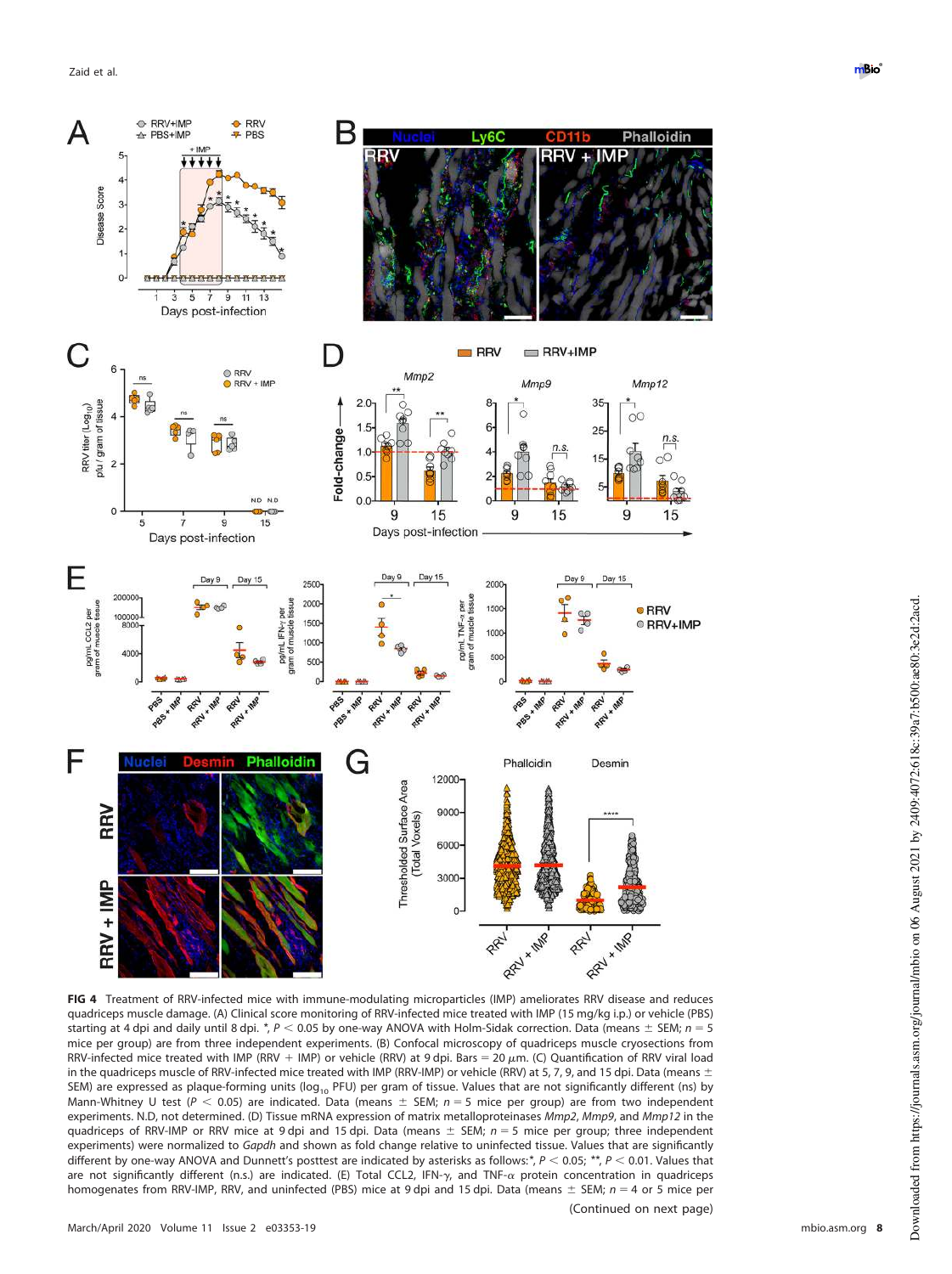![](_page_7_Figure_1.jpeg)

<span id="page-7-0"></span>**FIG 4** Treatment of RRV-infected mice with immune-modulating microparticles (IMP) ameliorates RRV disease and reduces quadriceps muscle damage. (A) Clinical score monitoring of RRV-infected mice treated with IMP (15 mg/kg i.p.) or vehicle (PBS) starting at 4 dpi and daily until 8 dpi.  $^*$ , P < 0.05 by one-way ANOVA with Holm-Sidak correction. Data (means  $\pm$  SEM;  $n = 5$ mice per group) are from three independent experiments. (B) Confocal microscopy of quadriceps muscle cryosections from RRV-infected mice treated with IMP (RRV + IMP) or vehicle (RRV) at 9 dpi. Bars = 20  $\mu$ m. (C) Quantification of RRV viral load in the quadriceps muscle of RRV-infected mice treated with IMP (RRV-IMP) or vehicle (RRV) at 5, 7, 9, and 15 dpi. Data (means  $\pm$ SEM) are expressed as plaque-forming units ( $log_{10}$  PFU) per gram of tissue. Values that are not significantly different (ns) by Mann-Whitney U test ( $P < 0.05$ ) are indicated. Data (means  $\pm$  SEM; n = 5 mice per group) are from two independent experiments. N.D, not determined. (D) Tissue mRNA expression of matrix metalloproteinases Mmp2, Mmp9, and Mmp12 in the quadriceps of RRV-IMP or RRV mice at 9 dpi and 15 dpi. Data (means  $\pm$  SEM;  $n = 5$  mice per group; three independent experiments) were normalized to Gapdh and shown as fold change relative to uninfected tissue. Values that are significantly different by one-way ANOVA and Dunnett's posttest are indicated by asterisks as follows:\*,  $P < 0.05$ ; \*\*,  $P < 0.01$ . Values that are not significantly different (n.s.) are indicated. (E) Total CCL2, IFN- $\gamma$ , and TNF- $\alpha$  protein concentration in quadriceps homogenates from RRV-IMP, RRV, and uninfected (PBS) mice at 9 dpi and 15 dpi. Data (means  $\pm$  SEM;  $n = 4$  or 5 mice per (Continued on next page)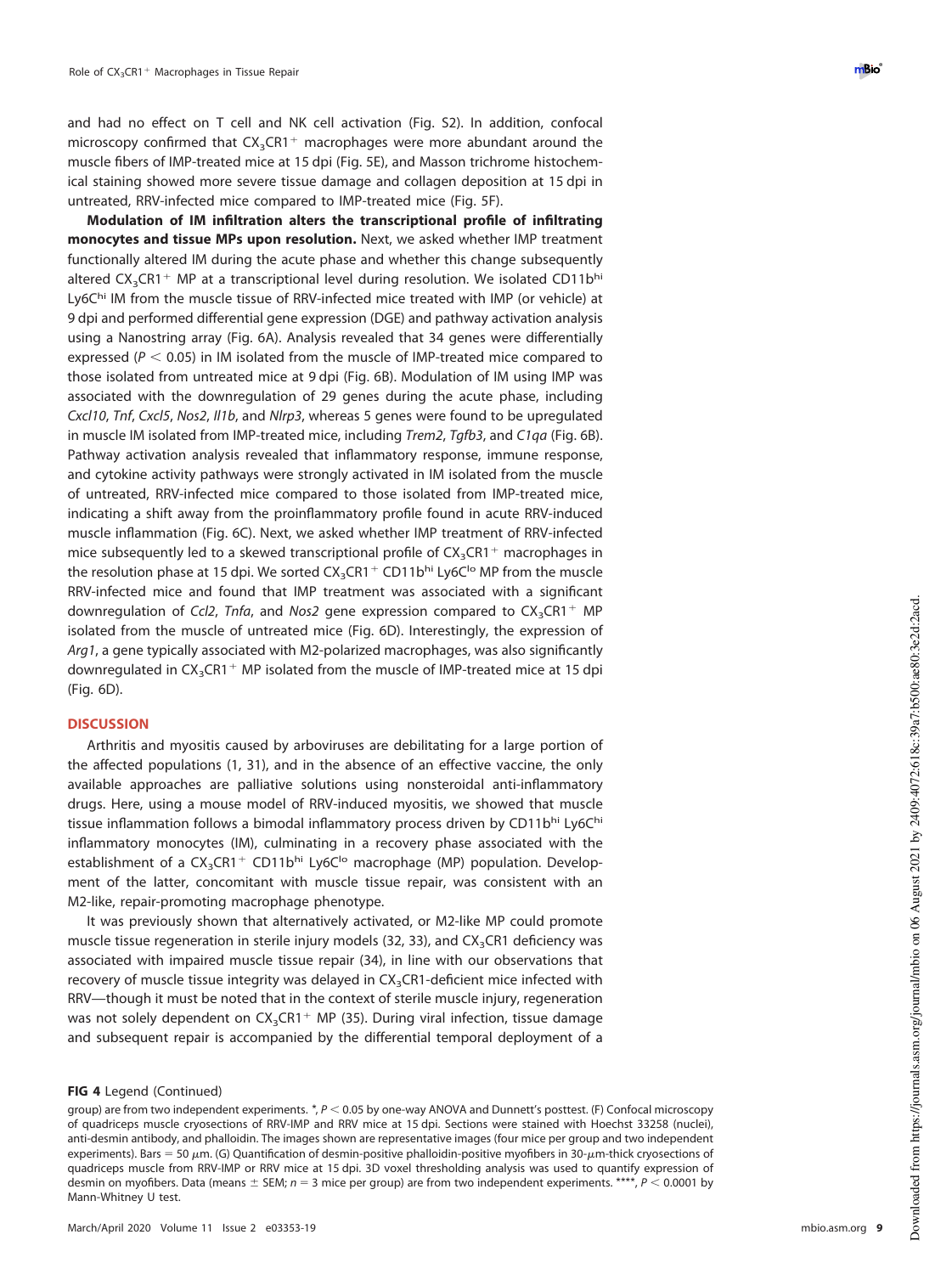and had no effect on T cell and NK cell activation (Fig. S2). In addition, confocal microscopy confirmed that  $CX_3CR1^+$  macrophages were more abundant around the muscle fibers of IMP-treated mice at 15 dpi [\(Fig. 5E\)](#page-9-0), and Masson trichrome histochemical staining showed more severe tissue damage and collagen deposition at 15 dpi in untreated, RRV-infected mice compared to IMP-treated mice [\(Fig. 5F\)](#page-9-0).

**Modulation of IM infiltration alters the transcriptional profile of infiltrating monocytes and tissue MPs upon resolution.** Next, we asked whether IMP treatment functionally altered IM during the acute phase and whether this change subsequently altered  $\text{CX}_3\text{CR1}^+$  MP at a transcriptional level during resolution. We isolated CD11bhi Ly6Chi IM from the muscle tissue of RRV-infected mice treated with IMP (or vehicle) at 9 dpi and performed differential gene expression (DGE) and pathway activation analysis using a Nanostring array [\(Fig. 6A\)](#page-11-0). Analysis revealed that 34 genes were differentially expressed ( $P < 0.05$ ) in IM isolated from the muscle of IMP-treated mice compared to those isolated from untreated mice at 9 dpi [\(Fig. 6B\)](#page-11-0). Modulation of IM using IMP was associated with the downregulation of 29 genes during the acute phase, including Cxcl10, Tnf, Cxcl5, Nos2, Il1b, and Nlrp3, whereas 5 genes were found to be upregulated in muscle IM isolated from IMP-treated mice, including Trem2, Tgfb3, and C1qa [\(Fig. 6B\)](#page-11-0). Pathway activation analysis revealed that inflammatory response, immune response, and cytokine activity pathways were strongly activated in IM isolated from the muscle of untreated, RRV-infected mice compared to those isolated from IMP-treated mice, indicating a shift away from the proinflammatory profile found in acute RRV-induced muscle inflammation [\(Fig. 6C\)](#page-11-0). Next, we asked whether IMP treatment of RRV-infected mice subsequently led to a skewed transcriptional profile of  $CX_{3}CR1^{+}$  macrophages in the resolution phase at 15 dpi. We sorted  $\text{CX}_3\text{C}\text{R}1^+$  CD11b<sup>hi</sup> Ly6C<sup>I</sup>o MP from the muscle RRV-infected mice and found that IMP treatment was associated with a significant downregulation of Ccl2, Tnfa, and Nos2 gene expression compared to  $CX_{3}CR1^{+}$  MP isolated from the muscle of untreated mice [\(Fig. 6D\)](#page-11-0). Interestingly, the expression of Arg1, a gene typically associated with M2-polarized macrophages, was also significantly downregulated in  $\text{CX}_3\text{CR1}^+$  MP isolated from the muscle of IMP-treated mice at 15 dpi [\(Fig. 6D\)](#page-11-0).

# **DISCUSSION**

Arthritis and myositis caused by arboviruses are debilitating for a large portion of the affected populations [\(1,](#page-15-0) [31\)](#page-16-7), and in the absence of an effective vaccine, the only available approaches are palliative solutions using nonsteroidal anti-inflammatory drugs. Here, using a mouse model of RRV-induced myositis, we showed that muscle tissue inflammation follows a bimodal inflammatory process driven by CD11bhi Ly6Chi inflammatory monocytes (IM), culminating in a recovery phase associated with the establishment of a CX<sub>3</sub>CR1<sup>+</sup> CD11bhi Ly6C<sup>1</sup>o macrophage (MP) population. Development of the latter, concomitant with muscle tissue repair, was consistent with an M2-like, repair-promoting macrophage phenotype.

It was previously shown that alternatively activated, or M2-like MP could promote muscle tissue regeneration in sterile injury models [\(32,](#page-16-8) [33\)](#page-16-9), and  $CX<sub>3</sub>CR1$  deficiency was associated with impaired muscle tissue repair [\(34\)](#page-16-10), in line with our observations that recovery of muscle tissue integrity was delayed in  $CX<sub>3</sub>CR1$ -deficient mice infected with RRV—though it must be noted that in the context of sterile muscle injury, regeneration was not solely dependent on  $\text{CX}_3\text{C}\text{R}1^+$  MP [\(35\)](#page-16-11). During viral infection, tissue damage and subsequent repair is accompanied by the differential temporal deployment of a

### **FIG 4** Legend (Continued)

group) are from two independent experiments. *\*, P* < 0.05 by one-way ANOVA and Dunnett's posttest. (F) Confocal microscopy of quadriceps muscle cryosections of RRV-IMP and RRV mice at 15 dpi. Sections were stained with Hoechst 33258 (nuclei), anti-desmin antibody, and phalloidin. The images shown are representative images (four mice per group and two independent experiments). Bars = 50  $\mu$ m. (G) Quantification of desmin-positive phalloidin-positive myofibers in 30- $\mu$ m-thick cryosections of quadriceps muscle from RRV-IMP or RRV mice at 15 dpi. 3D voxel thresholding analysis was used to quantify expression of desmin on myofibers. Data (means  $\pm$  SEM;  $n = 3$  mice per group) are from two independent experiments. \*\*\*,  $P < 0.0001$  by Mann-Whitney U test.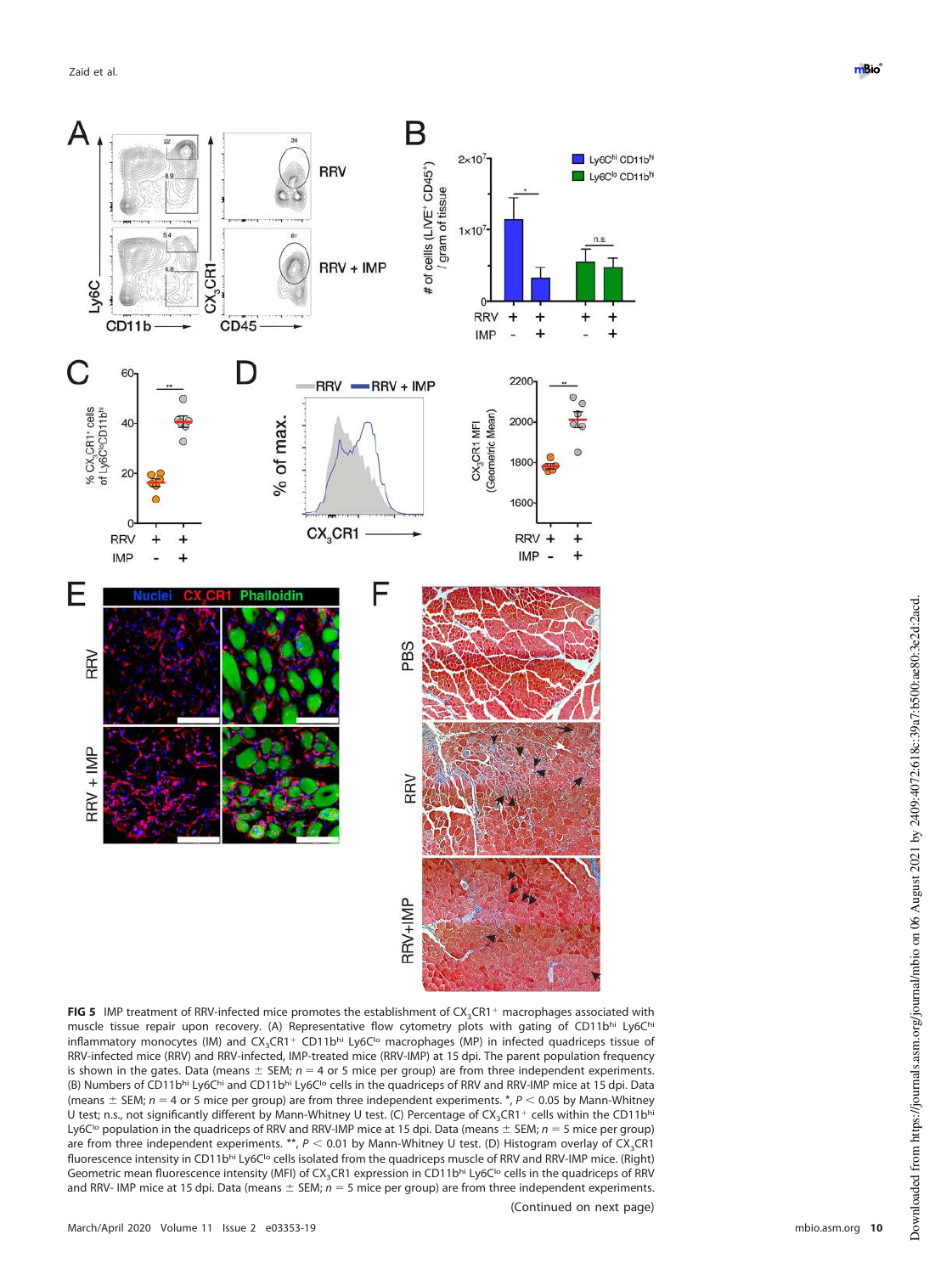![](_page_9_Figure_1.jpeg)

<span id="page-9-0"></span>FIG 5 IMP treatment of RRV-infected mice promotes the establishment of CX<sub>3</sub>CR1<sup>+</sup> macrophages associated with muscle tissue repair upon recovery. (A) Representative flow cytometry plots with gating of CD11bhi Ly6Chi inflammatory monocytes (IM) and CX<sub>3</sub>CR1<sup>+</sup> CD11b<sup>hi</sup> Ly6C<sup>I</sup><sup>o</sup> macrophages (MP) in infected quadriceps tissue of RRV-infected mice (RRV) and RRV-infected, IMP-treated mice (RRV-IMP) at 15 dpi. The parent population frequency is shown in the gates. Data (means  $\pm$  SEM;  $n = 4$  or 5 mice per group) are from three independent experiments. (B) Numbers of CD11bhi Ly6Chi and CD11bhi Ly6C<sup>1</sup> cells in the quadriceps of RRV and RRV-IMP mice at 15 dpi. Data (means  $\pm$  SEM; n = 4 or 5 mice per group) are from three independent experiments. \*, P < 0.05 by Mann-Whitney U test; n.s., not significantly different by Mann-Whitney U test. (C) Percentage of  $CX_3CR1^+$  cells within the CD11bhi Ly6C<sup>lo</sup> population in the quadriceps of RRV and RRV-IMP mice at 15 dpi. Data (means  $\pm$  SEM;  $n = 5$  mice per group) are from three independent experiments. \*\*,  $P < 0.01$  by Mann-Whitney U test. (D) Histogram overlay of CX<sub>3</sub>CR1 fluorescence intensity in CD11bhi Ly6C<sup>1</sup>o cells isolated from the quadriceps muscle of RRV and RRV-IMP mice. (Right) Geometric mean fluorescence intensity (MFI) of CX<sub>3</sub>CR1 expression in CD11bhi Ly6C<sup>Io</sup> cells in the quadriceps of RRV and RRV- IMP mice at 15 dpi. Data (means  $\pm$  SEM;  $n = 5$  mice per group) are from three independent experiments.

(Continued on next page)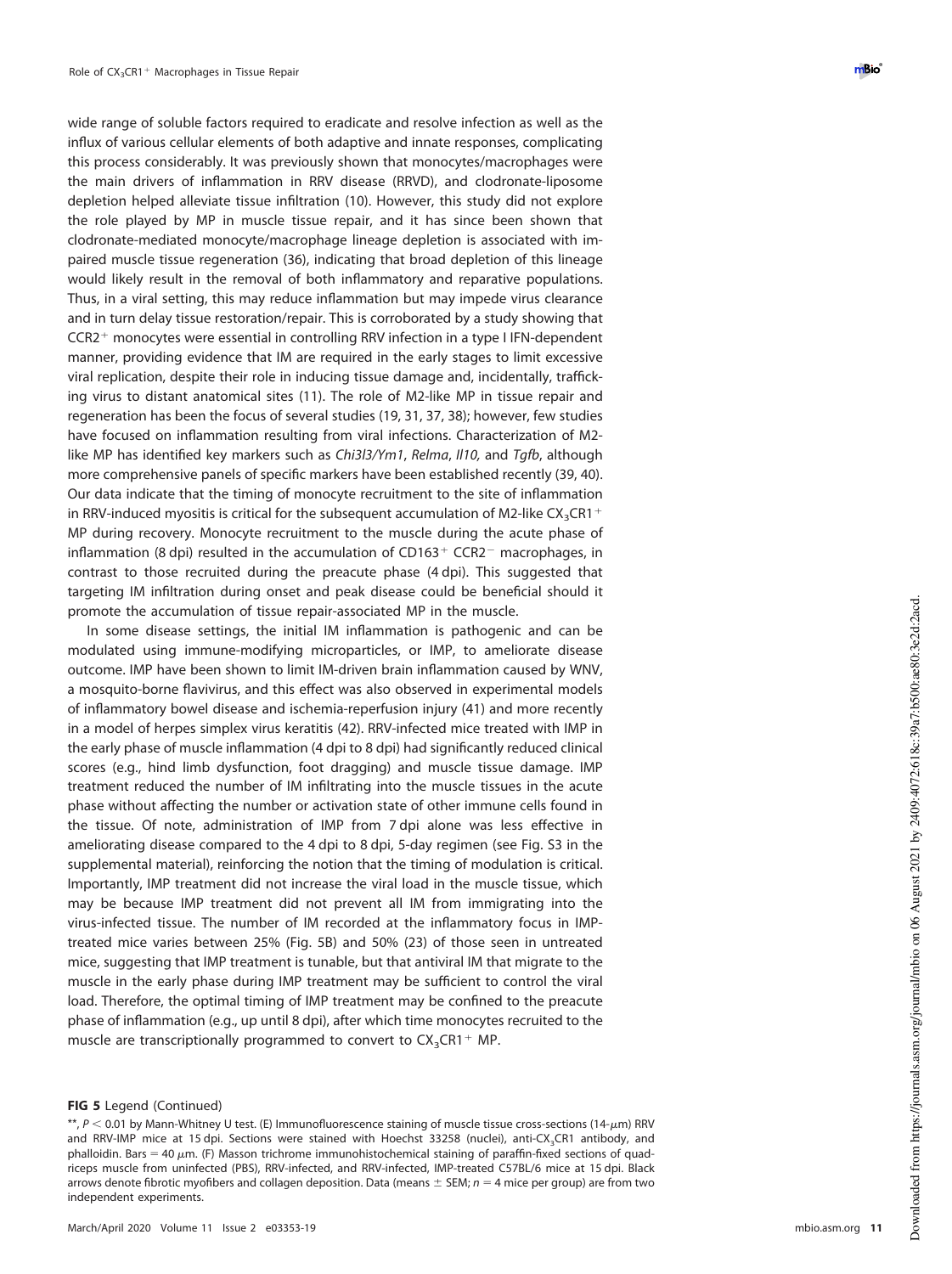wide range of soluble factors required to eradicate and resolve infection as well as the influx of various cellular elements of both adaptive and innate responses, complicating this process considerably. It was previously shown that monocytes/macrophages were the main drivers of inflammation in RRV disease (RRVD), and clodronate-liposome depletion helped alleviate tissue infiltration [\(10\)](#page-15-9). However, this study did not explore the role played by MP in muscle tissue repair, and it has since been shown that clodronate-mediated monocyte/macrophage lineage depletion is associated with impaired muscle tissue regeneration [\(36\)](#page-16-12), indicating that broad depletion of this lineage would likely result in the removal of both inflammatory and reparative populations. Thus, in a viral setting, this may reduce inflammation but may impede virus clearance and in turn delay tissue restoration/repair. This is corroborated by a study showing that CCR2<sup>+</sup> monocytes were essential in controlling RRV infection in a type I IFN-dependent manner, providing evidence that IM are required in the early stages to limit excessive viral replication, despite their role in inducing tissue damage and, incidentally, trafficking virus to distant anatomical sites [\(11\)](#page-15-10). The role of M2-like MP in tissue repair and regeneration has been the focus of several studies [\(19,](#page-15-18) [31,](#page-16-7) [37,](#page-16-13) [38\)](#page-16-14); however, few studies have focused on inflammation resulting from viral infections. Characterization of M2 like MP has identified key markers such as Chi3l3/Ym1, Relma, II10, and Tgfb, although more comprehensive panels of specific markers have been established recently [\(39,](#page-16-15) [40\)](#page-16-16). Our data indicate that the timing of monocyte recruitment to the site of inflammation in RRV-induced myositis is critical for the subsequent accumulation of M2-like  $\text{CX}_3\text{CR1}^+$ MP during recovery. Monocyte recruitment to the muscle during the acute phase of inflammation (8 dpi) resulted in the accumulation of CD163<sup>+</sup> CCR2<sup>-</sup> macrophages, in contrast to those recruited during the preacute phase (4 dpi). This suggested that targeting IM infiltration during onset and peak disease could be beneficial should it promote the accumulation of tissue repair-associated MP in the muscle.

In some disease settings, the initial IM inflammation is pathogenic and can be modulated using immune-modifying microparticles, or IMP, to ameliorate disease outcome. IMP have been shown to limit IM-driven brain inflammation caused by WNV, a mosquito-borne flavivirus, and this effect was also observed in experimental models of inflammatory bowel disease and ischemia-reperfusion injury [\(41\)](#page-16-17) and more recently in a model of herpes simplex virus keratitis [\(42\)](#page-16-18). RRV-infected mice treated with IMP in the early phase of muscle inflammation (4 dpi to 8 dpi) had significantly reduced clinical scores (e.g., hind limb dysfunction, foot dragging) and muscle tissue damage. IMP treatment reduced the number of IM infiltrating into the muscle tissues in the acute phase without affecting the number or activation state of other immune cells found in the tissue. Of note, administration of IMP from 7 dpi alone was less effective in ameliorating disease compared to the 4 dpi to 8 dpi, 5-day regimen (see Fig. S3 in the supplemental material), reinforcing the notion that the timing of modulation is critical. Importantly, IMP treatment did not increase the viral load in the muscle tissue, which may be because IMP treatment did not prevent all IM from immigrating into the virus-infected tissue. The number of IM recorded at the inflammatory focus in IMPtreated mice varies between 25% [\(Fig. 5B\)](#page-9-0) and 50% [\(23\)](#page-15-22) of those seen in untreated mice, suggesting that IMP treatment is tunable, but that antiviral IM that migrate to the muscle in the early phase during IMP treatment may be sufficient to control the viral load. Therefore, the optimal timing of IMP treatment may be confined to the preacute phase of inflammation (e.g., up until 8 dpi), after which time monocytes recruited to the muscle are transcriptionally programmed to convert to  $CX_{3}CR1+ MP$ .

#### **FIG 5** Legend (Continued)

\*\*,  $P < 0.01$  by Mann-Whitney U test. (E) Immunofluorescence staining of muscle tissue cross-sections (14- $\mu$ m) RRV and RRV-IMP mice at 15 dpi. Sections were stained with Hoechst 33258 (nuclei), anti-CX <sup>3</sup>CR1 antibody, and phalloidin. Bars = 40  $\mu$ m. (F) Masson trichrome immunohistochemical staining of paraffin-fixed sections of quadriceps muscle from uninfected (PBS), RRV-infected, and RRV-infected, IMP-treated C57BL/6 mice at 15 dpi. Black arrows denote fibrotic myofibers and collagen deposition. Data (means  $\pm$  SEM;  $n = 4$  mice per group) are from two independent experiments.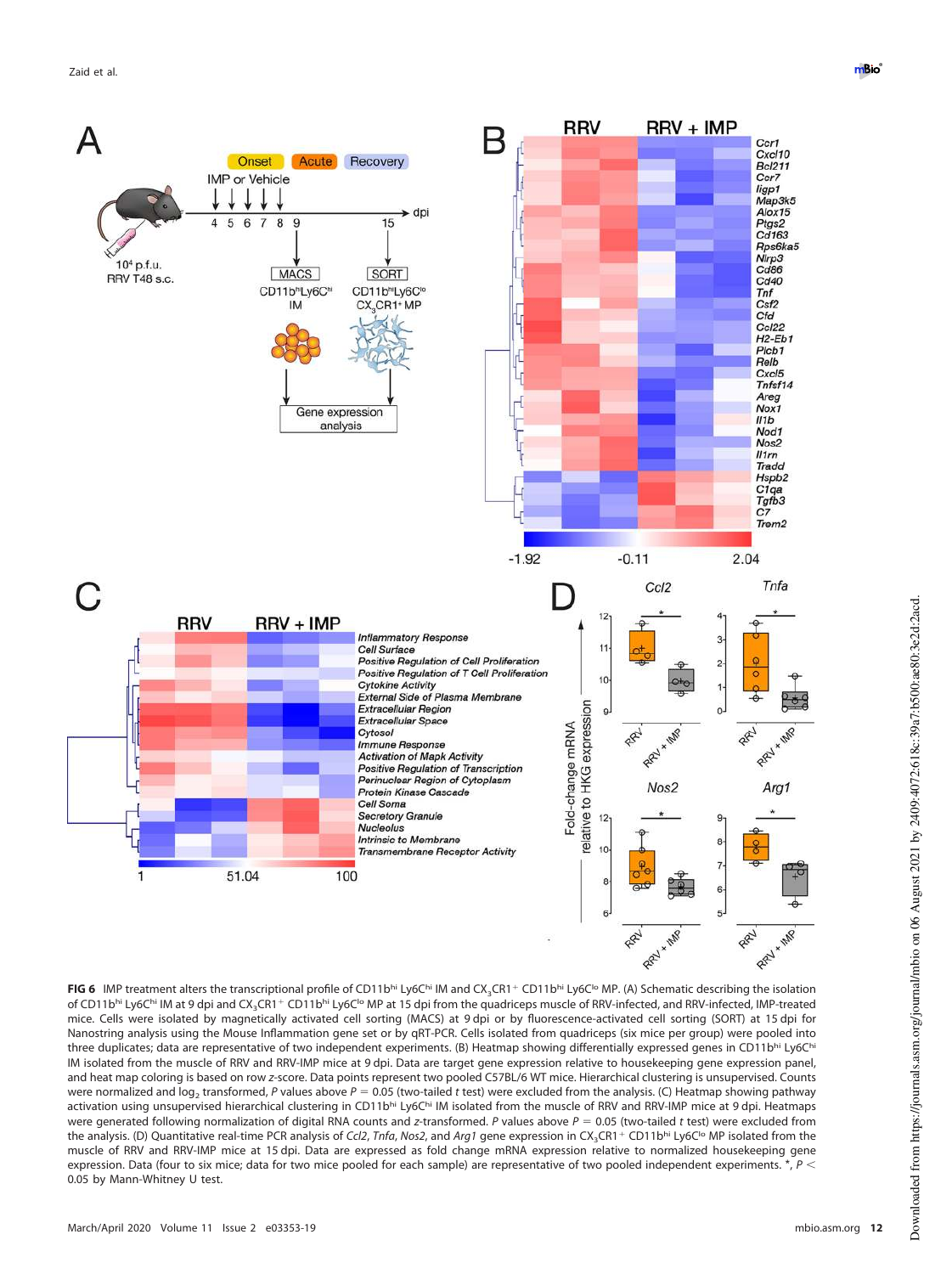![](_page_11_Figure_1.jpeg)

<span id="page-11-0"></span>**FIG 6** IMP treatment alters the transcriptional profile of CD11bhi Ly6Chi IM and CX<sub>3</sub>CR1+ CD11bhi Ly6C<sup>1</sup>o MP. (A) Schematic describing the isolation of CD11bhi Ly6Chi IM at 9 dpi and CX<sub>3</sub>CR1+ CD11bhi Ly6Clo MP at 15 dpi from the quadriceps muscle of RRV-infected, and RRV-infected, IMP-treated mice. Cells were isolated by magnetically activated cell sorting (MACS) at 9 dpi or by fluorescence-activated cell sorting (SORT) at 15 dpi for Nanostring analysis using the Mouse Inflammation gene set or by qRT-PCR. Cells isolated from quadriceps (six mice per group) were pooled into three duplicates; data are representative of two independent experiments. (B) Heatmap showing differentially expressed genes in CD11bhi Ly6Chi IM isolated from the muscle of RRV and RRV-IMP mice at 9 dpi. Data are target gene expression relative to housekeeping gene expression panel, and heat map coloring is based on row z-score. Data points represent two pooled C57BL/6 WT mice. Hierarchical clustering is unsupervised. Counts were normalized and log<sub>2</sub> transformed, P values above P = 0.05 (two-tailed *t* test) were excluded from the analysis. (C) Heatmap showing pathway activation using unsupervised hierarchical clustering in CD11bhi Ly6Chi IM isolated from the muscle of RRV and RRV-IMP mice at 9 dpi. Heatmaps were generated following normalization of digital RNA counts and z-transformed. P values above  $P = 0.05$  (two-tailed t test) were excluded from the analysis. (D) Quantitative real-time PCR analysis of Ccl2, Tnfa, Nos2, and Arg1 gene expression in CX<sub>3</sub>CR1+ CD11bhi Ly6C<sup>1</sup>o MP isolated from the muscle of RRV and RRV-IMP mice at 15 dpi. Data are expressed as fold change mRNA expression relative to normalized housekeeping gene expression. Data (four to six mice; data for two mice pooled for each sample) are representative of two pooled independent experiments. \*,  $P$  < 0.05 by Mann-Whitney U test.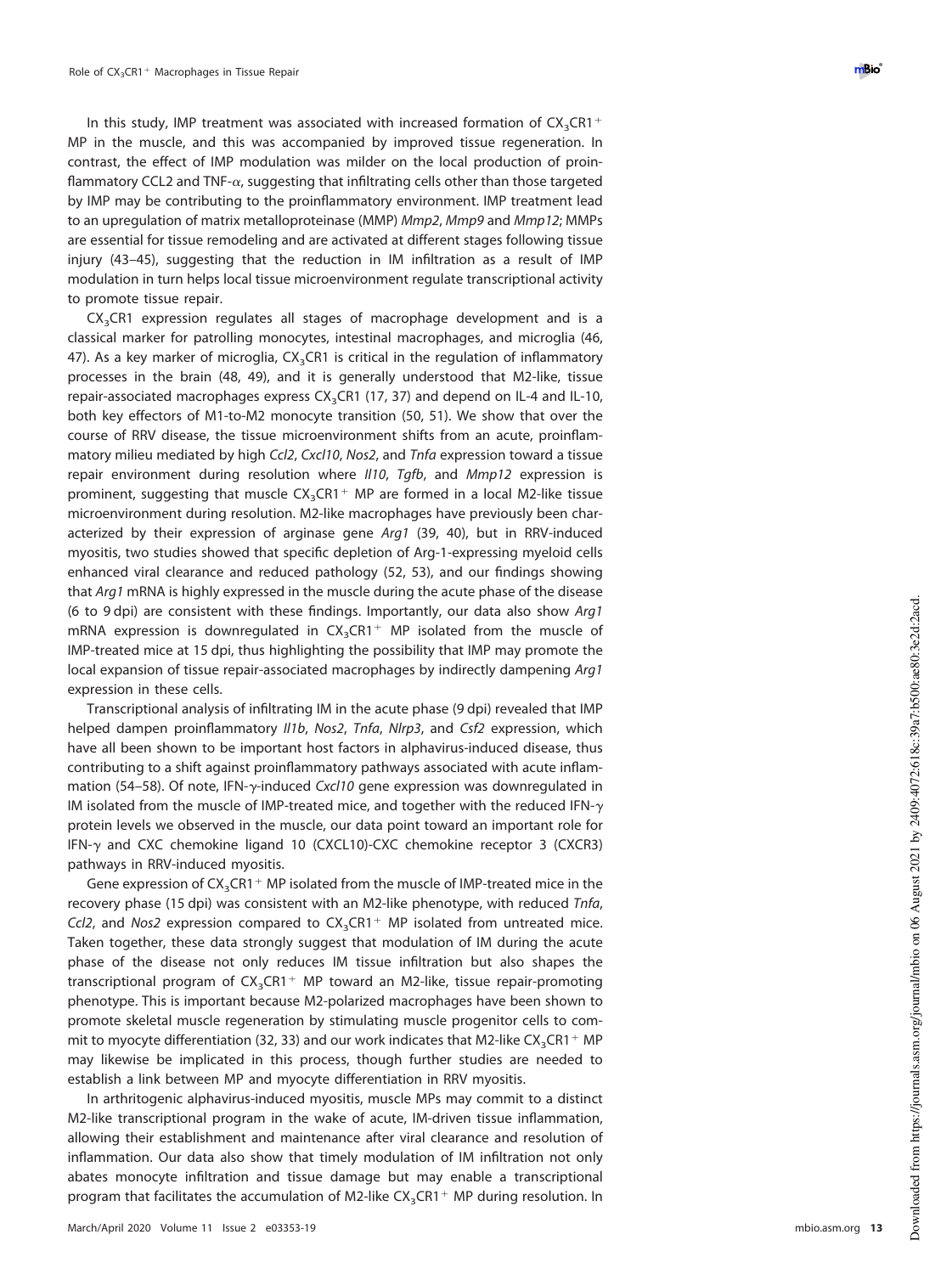In this study, IMP treatment was associated with increased formation of  $CX_{3}CR1+$ MP in the muscle, and this was accompanied by improved tissue regeneration. In contrast, the effect of IMP modulation was milder on the local production of proinflammatory CCL2 and TNF- $\alpha$ , suggesting that infiltrating cells other than those targeted by IMP may be contributing to the proinflammatory environment. IMP treatment lead to an upregulation of matrix metalloproteinase (MMP) *Mmp2, Mmp9* and *Mmp12;* MMPs are essential for tissue remodeling and are activated at different stages following tissue injury [\(43](#page-16-19)[–](#page-16-20)[45\)](#page-16-21), suggesting that the reduction in IM infiltration as a result of IMP modulation in turn helps local tissue microenvironment regulate transcriptional activity to promote tissue repair.

CX <sup>3</sup>CR1 expression regulates all stages of macrophage development and is a classical marker for patrolling monocytes, intestinal macrophages, and microglia [\(46,](#page-16-22) [47\)](#page-16-23). As a key marker of microglia,  $\mathsf{CX}_3\mathsf{C}\mathsf{R}$ 1 is critical in the regulation of inflammatory processes in the brain [\(48,](#page-16-24) [49\)](#page-16-25), and it is generally understood that M2-like, tissue repair-associated macrophages express CX<sub>3</sub>CR1 [\(17,](#page-15-16) [37\)](#page-16-13) and depend on IL-4 and IL-10, both key effectors of M1-to-M2 monocyte transition [\(50,](#page-16-26) [51\)](#page-16-27). We show that over the course of RRV disease, the tissue microenvironment shifts from an acute, proinflammatory milieu mediated by high Ccl2, Cxcl10, Nos2, and Tnfa expression toward a tissue repair environment during resolution where II10, Tgfb, and Mmp12 expression is prominent, suggesting that muscle  $CX_3CR1+$  MP are formed in a local M2-like tissue microenvironment during resolution. M2-like macrophages have previously been characterized by their expression of arginase gene Arg1 [\(39,](#page-16-15) [40\)](#page-16-16), but in RRV-induced myositis, two studies showed that specific depletion of Arg-1-expressing myeloid cells enhanced viral clearance and reduced pathology [\(52,](#page-16-28) [53\)](#page-16-29), and our findings showing that Arg1 mRNA is highly expressed in the muscle during the acute phase of the disease (6 to 9 dpi) are consistent with these findings. Importantly, our data also show  $Arg1$ mRNA expression is downregulated in  $CX_3CR1^+$  MP isolated from the muscle of IMP-treated mice at 15 dpi, thus highlighting the possibility that IMP may promote the local expansion of tissue repair-associated macrophages by indirectly dampening Arg1 expression in these cells.

Transcriptional analysis of infiltrating IM in the acute phase (9 dpi) revealed that IMP helped dampen proinflammatory II1b, Nos2, Tnfa, NIrp3, and Csf2 expression, which have all been shown to be important host factors in alphavirus-induced disease, thus contributing to a shift against proinflammatory pathways associated with acute inflam-mation [\(54](#page-16-30)[–](#page-16-31)[58\)](#page-16-32). Of note, IFN- $\gamma$ -induced Cxcl10 gene expression was downregulated in IM isolated from the muscle of IMP-treated mice, and together with the reduced IFN- $\gamma$ protein levels we observed in the muscle, our data point toward an important role for IFN- and CXC chemokine ligand 10 (CXCL10)-CXC chemokine receptor 3 (CXCR3) pathways in RRV-induced myositis.

Gene expression of  $CX_3CR1+MP$  isolated from the muscle of IMP-treated mice in the recovery phase (15 dpi) was consistent with an M2-like phenotype, with reduced Tnfa, Ccl2, and Nos2 expression compared to  $CX_3CR1+ MP$  isolated from untreated mice. Taken together, these data strongly suggest that modulation of IM during the acute phase of the disease not only reduces IM tissue infiltration but also shapes the transcriptional program of CX<sub>3</sub>CR1<sup>+</sup> MP toward an M2-like, tissue repair-promoting phenotype. This is important because M2-polarized macrophages have been shown to promote skeletal muscle regeneration by stimulating muscle progenitor cells to com-mit to myocyte differentiation [\(32,](#page-16-8) [33\)](#page-16-9) and our work indicates that M2-like  $\text{CX}_3\text{CR1}^+$  MP may likewise be implicated in this process, though further studies are needed to establish a link between MP and myocyte differentiation in RRV myositis.

In arthritogenic alphavirus-induced myositis, muscle MPs may commit to a distinct M2-like transcriptional program in the wake of acute, IM-driven tissue inflammation, allowing their establishment and maintenance after viral clearance and resolution of inflammation. Our data also show that timely modulation of IM infiltration not only abates monocyte infiltration and tissue damage but may enable a transcriptional program that facilitates the accumulation of M2-like  $CX_{3}CR1^{+}$  MP during resolution. In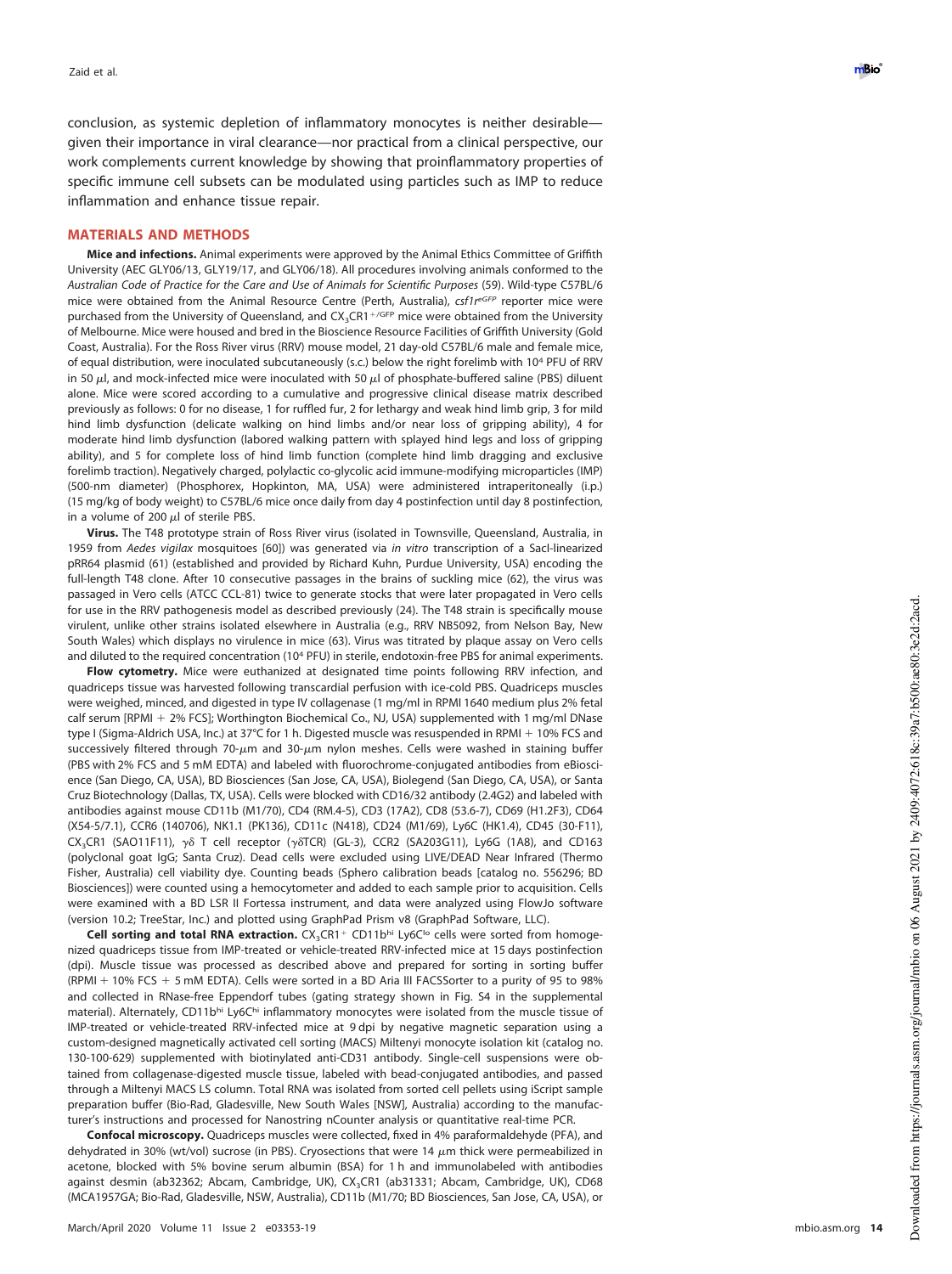conclusion, as systemic depletion of inflammatory monocytes is neither desirable given their importance in viral clearance—nor practical from a clinical perspective, our work complements current knowledge by showing that proinflammatory properties of specific immune cell subsets can be modulated using particles such as IMP to reduce inflammation and enhance tissue repair.

# **MATERIALS AND METHODS**

**Mice and infections.** Animal experiments were approved by the Animal Ethics Committee of Griffith University (AEC GLY06/13, GLY19/17, and GLY06/18). All procedures involving animals conformed to the Australian Code of Practice for the Care and Use of Animals for Scientific Purposes [\(59\)](#page-16-33). Wild-type C57BL/6 mice were obtained from the Animal Resource Centre (Perth, Australia), csf1reGFP reporter mice were purchased from the University of Queensland, and CX<sub>3</sub>CR1<sup>+/GFP</sup> mice were obtained from the University of Melbourne. Mice were housed and bred in the Bioscience Resource Facilities of Griffith University (Gold Coast, Australia). For the Ross River virus (RRV) mouse model, 21 day-old C57BL/6 male and female mice, of equal distribution, were inoculated subcutaneously (s.c.) below the right forelimb with 10 <sup>4</sup> PFU of RRV in 50  $\mu$ l, and mock-infected mice were inoculated with 50  $\mu$ l of phosphate-buffered saline (PBS) diluent alone. Mice were scored according to a cumulative and progressive clinical disease matrix described previously as follows: 0 for no disease, 1 for ruffled fur, 2 for lethargy and weak hind limb grip, 3 for mild hind limb dysfunction (delicate walking on hind limbs and/or near loss of gripping ability), 4 for moderate hind limb dysfunction (labored walking pattern with splayed hind legs and loss of gripping ability), and 5 for complete loss of hind limb function (complete hind limb dragging and exclusive forelimb traction). Negatively charged, polylactic co-glycolic acid immune-modifying microparticles (IMP) (500-nm diameter) (Phosphorex, Hopkinton, MA, USA) were administered intraperitoneally (i.p.) (15 mg/kg of body weight) to C57BL/6 mice once daily from day 4 postinfection until day 8 postinfection, in a volume of 200  $\mu$ l of sterile PBS.

**Virus.** The T48 prototype strain of Ross River virus (isolated in Townsville, Queensland, Australia, in 1959 from Aedes vigilax mosquitoes [\[60\]](#page-16-34)) was generated via in vitro transcription of a Sacl-linearized pRR64 plasmid [\(61\)](#page-17-0) (established and provided by Richard Kuhn, Purdue University, USA) encoding the full-length T48 clone. After 10 consecutive passages in the brains of suckling mice [\(62\)](#page-17-1), the virus was passaged in Vero cells (ATCC CCL-81) twice to generate stocks that were later propagated in Vero cells for use in the RRV pathogenesis model as described previously [\(24\)](#page-16-0). The T48 strain is specifically mouse virulent, unlike other strains isolated elsewhere in Australia (e.g., RRV NB5092, from Nelson Bay, New South Wales) which displays no virulence in mice [\(63\)](#page-17-2). Virus was titrated by plaque assay on Vero cells and diluted to the required concentration (10<sup>4</sup> PFU) in sterile, endotoxin-free PBS for animal experiments.

**Flow cytometry.** Mice were euthanized at designated time points following RRV infection, and quadriceps tissue was harvested following transcardial perfusion with ice-cold PBS. Quadriceps muscles were weighed, minced, and digested in type IV collagenase (1 mg/ml in RPMI 1640 medium plus 2% fetal calf serum [RPMI + 2% FCS]; Worthington Biochemical Co., NJ, USA) supplemented with 1 mg/ml DNase type I (Sigma-Aldrich USA, Inc.) at 37°C for 1 h. Digested muscle was resuspended in RPMI + 10% FCS and successively filtered through 70- $\mu$ m and 30- $\mu$ m nylon meshes. Cells were washed in staining buffer (PBS with 2% FCS and 5 mM EDTA) and labeled with fluorochrome-conjugated antibodies from eBioscience (San Diego, CA, USA), BD Biosciences (San Jose, CA, USA), Biolegend (San Diego, CA, USA), or Santa Cruz Biotechnology (Dallas, TX, USA). Cells were blocked with CD16/32 antibody (2.4G2) and labeled with antibodies against mouse CD11b (M1/70), CD4 (RM.4-5), CD3 (17A2), CD8 (53.6-7), CD69 (H1.2F3), CD64 (X54-5/7.1), CCR6 (140706), NK1.1 (PK136), CD11c (N418), CD24 (M1/69), Ly6C (HK1.4), CD45 (30-F11),  $CX_{3}CR1$  (SAO11F11),  $\gamma\delta$  T cell receptor ( $\gamma\delta$ TCR) (GL-3), CCR2 (SA203G11), Ly6G (1A8), and CD163 (polyclonal goat IgG; Santa Cruz). Dead cells were excluded using LIVE/DEAD Near Infrared (Thermo Fisher, Australia) cell viability dye. Counting beads (Sphero calibration beads [catalog no. 556296; BD Biosciences]) were counted using a hemocytometer and added to each sample prior to acquisition. Cells were examined with a BD LSR II Fortessa instrument, and data were analyzed using FlowJo software (version 10.2; TreeStar, Inc.) and plotted using GraphPad Prism v8 (GraphPad Software, LLC).

Cell sorting and total RNA extraction. CX<sub>3</sub>CR1<sup>+</sup> CD11bhi Ly6C<sup>Io</sup> cells were sorted from homogenized quadriceps tissue from IMP-treated or vehicle-treated RRV-infected mice at 15 days postinfection (dpi). Muscle tissue was processed as described above and prepared for sorting in sorting buffer (RPMI + 10% FCS + 5 mM EDTA). Cells were sorted in a BD Aria III FACSSorter to a purity of 95 to 98% and collected in RNase-free Eppendorf tubes (gating strategy shown in Fig. S4 in the supplemental material). Alternately, CD11bhi Ly6Chi inflammatory monocytes were isolated from the muscle tissue of IMP-treated or vehicle-treated RRV-infected mice at 9 dpi by negative magnetic separation using a custom-designed magnetically activated cell sorting (MACS) Miltenyi monocyte isolation kit (catalog no. 130-100-629) supplemented with biotinylated anti-CD31 antibody. Single-cell suspensions were obtained from collagenase-digested muscle tissue, labeled with bead-conjugated antibodies, and passed through a Miltenyi MACS LS column. Total RNA was isolated from sorted cell pellets using iScript sample preparation buffer (Bio-Rad, Gladesville, New South Wales [NSW], Australia) according to the manufacturer's instructions and processed for Nanostring nCounter analysis or quantitative real-time PCR.

**Confocal microscopy.** Quadriceps muscles were collected, fixed in 4% paraformaldehyde (PFA), and dehydrated in 30% (wt/vol) sucrose (in PBS). Cryosections that were 14 m thick were permeabilized in acetone, blocked with 5% bovine serum albumin (BSA) for 1 h and immunolabeled with antibodies against desmin (ab32362; Abcam, Cambridge, UK), CX <sup>3</sup>CR1 (ab31331; Abcam, Cambridge, UK), CD68 (MCA1957GA; Bio-Rad, Gladesville, NSW, Australia), CD11b (M1/70; BD Biosciences, San Jose, CA, USA), or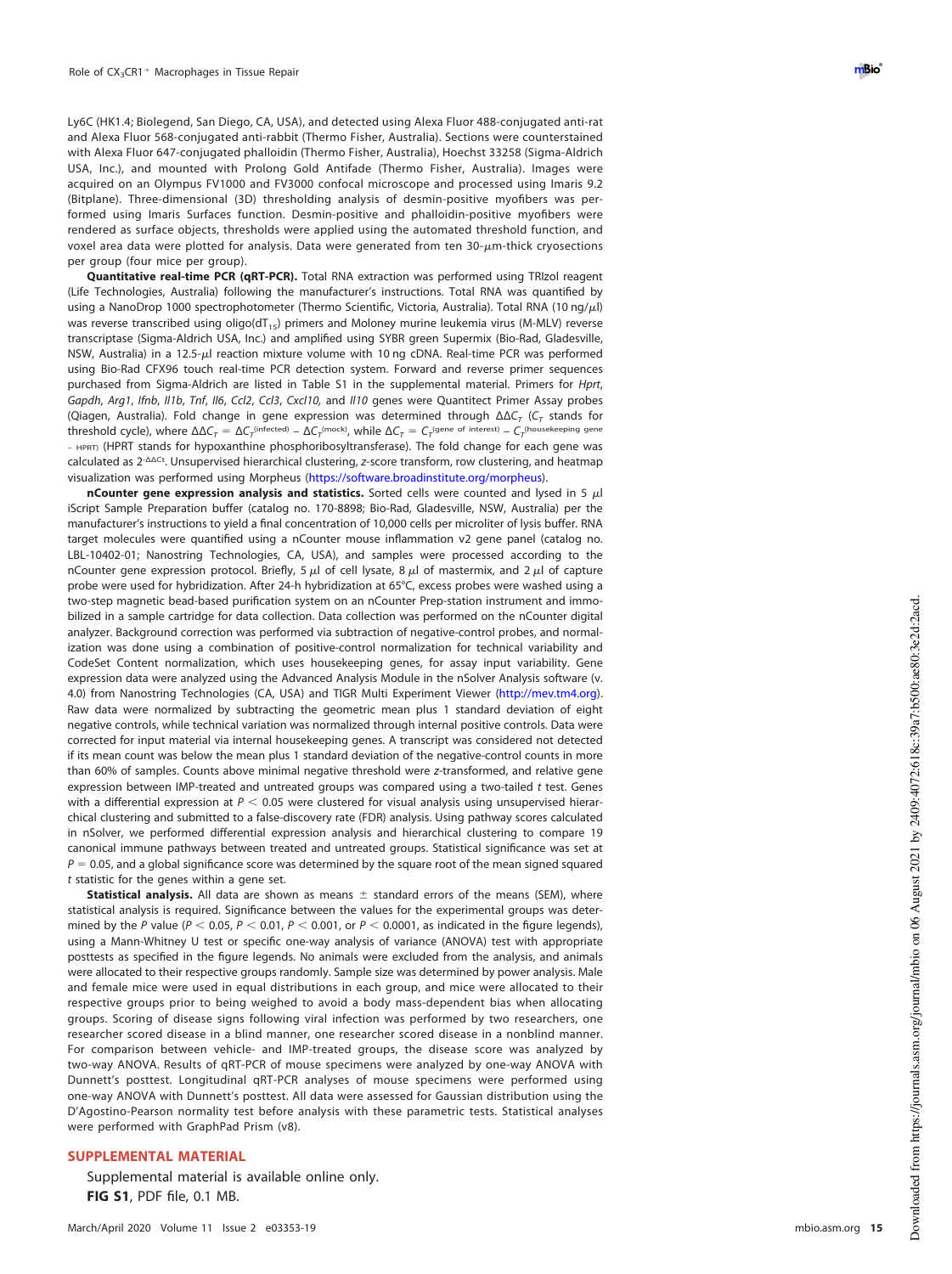Ly6C (HK1.4; Biolegend, San Diego, CA, USA), and detected using Alexa Fluor 488-conjugated anti-rat and Alexa Fluor 568-conjugated anti-rabbit (Thermo Fisher, Australia). Sections were counterstained with Alexa Fluor 647-conjugated phalloidin (Thermo Fisher, Australia), Hoechst 33258 (Sigma-Aldrich USA, Inc.), and mounted with Prolong Gold Antifade (Thermo Fisher, Australia). Images were acquired on an Olympus FV1000 and FV3000 confocal microscope and processed using Imaris 9.2 (Bitplane). Three-dimensional (3D) thresholding analysis of desmin-positive myofibers was performed using Imaris Surfaces function. Desmin-positive and phalloidin-positive myofibers were rendered as surface objects, thresholds were applied using the automated threshold function, and voxel area data were plotted for analysis. Data were generated from ten 30- $\mu$ m-thick cryosections per group (four mice per group).

**Quantitative real-time PCR (qRT-PCR).** Total RNA extraction was performed using TRIzol reagent (Life Technologies, Australia) following the manufacturer's instructions. Total RNA was quantified by using a NanoDrop 1000 spectrophotometer (Thermo Scientific, Victoria, Australia). Total RNA (10 ng/µl) was reverse transcribed using oligo( $dT_{15}$ ) primers and Moloney murine leukemia virus (M-MLV) reverse transcriptase (Sigma-Aldrich USA, Inc.) and amplified using SYBR green Supermix (Bio-Rad, Gladesville, NSW, Australia) in a 12.5-µl reaction mixture volume with 10 ng cDNA. Real-time PCR was performed using Bio-Rad CFX96 touch real-time PCR detection system. Forward and reverse primer sequences purchased from Sigma-Aldrich are listed in Table S1 in the supplemental material. Primers for Hprt, Gapdh, Arg1, Ifnb, II1b, Tnf, Il6, Ccl2, Ccl3, Cxcl10, and II10 genes were Quantitect Primer Assay probes (Qiagen, Australia). Fold change in gene expression was determined through  $ΔΔC<sub>T</sub>$  (C<sub>T</sub> stands for threshold cycle), where  $\Delta\Delta C_\tau = \Delta C_\tau$ <sup>(infected)</sup> –  $\Delta C_\tau$ <sup>(mock)</sup>, while  $\Delta C_\tau = C_\tau$ <sup>(gene of interest)</sup> –  $C_\tau$ <sup>(housekeeping gene</sup> – HPRT) (HPRT stands for hypoxanthine phosphoribosyltransferase). The fold change for each gene was calculated as 2<sup>-ΔΔCt</sup>. Unsupervised hierarchical clustering, z-score transform, row clustering, and heatmap visualization was performed using Morpheus (https://software.broadinstitute.org/morpheus).

**nCounter gene expression analysis and statistics.** Sorted cells were counted and lysed in 5  $\mu$ l iScript Sample Preparation buffer (catalog no. 170-8898; Bio-Rad, Gladesville, NSW, Australia) per the manufacturer's instructions to yield a final concentration of 10,000 cells per microliter of lysis buffer. RNA target molecules were quantified using a nCounter mouse inflammation v2 gene panel (catalog no. LBL-10402-01; Nanostring Technologies, CA, USA), and samples were processed according to the nCounter gene expression protocol. Briefly, 5  $\mu$ l of cell lysate, 8  $\mu$ l of mastermix, and 2  $\mu$ l of capture probe were used for hybridization. After 24-h hybridization at 65°C, excess probes were washed using a two-step magnetic bead-based purification system on an nCounter Prep-station instrument and immobilized in a sample cartridge for data collection. Data collection was performed on the nCounter digital analyzer. Background correction was performed via subtraction of negative-control probes, and normalization was done using a combination of positive-control normalization for technical variability and CodeSet Content normalization, which uses housekeeping genes, for assay input variability. Gene expression data were analyzed using the Advanced Analysis Module in the nSolver Analysis software (v. 4.0) from Nanostring Technologies (CA, USA) and TIGR Multi Experiment Viewer (http://mev.tm4.org). Raw data were normalized by subtracting the geometric mean plus 1 standard deviation of eight negative controls, while technical variation was normalized through internal positive controls. Data were corrected for input material via internal housekeeping genes. A transcript was considered not detected if its mean count was below the mean plus 1 standard deviation of the negative-control counts in more than 60% of samples. Counts above minimal negative threshold were z-transformed, and relative gene expression between IMP-treated and untreated groups was compared using a two-tailed t test. Genes with a differential expression at  $P < 0.05$  were clustered for visual analysis using unsupervised hierarchical clustering and submitted to a false-discovery rate (FDR) analysis. Using pathway scores calculated in nSolver, we performed differential expression analysis and hierarchical clustering to compare 19 canonical immune pathways between treated and untreated groups. Statistical significance was set at  $P = 0.05$ , and a global significance score was determined by the square root of the mean signed squared t statistic for the genes within a gene set.

Statistical analysis. All data are shown as means  $\pm$  standard errors of the means (SEM), where statistical analysis is required. Significance between the values for the experimental groups was determined by the P value ( $P < 0.05$ ,  $P < 0.01$ ,  $P < 0.001$ , or  $P < 0.0001$ , as indicated in the figure legends), using a Mann-Whitney U test or specific one-way analysis of variance (ANOVA) test with appropriate posttests as specified in the figure legends. No animals were excluded from the analysis, and animals were allocated to their respective groups randomly. Sample size was determined by power analysis. Male and female mice were used in equal distributions in each group, and mice were allocated to their respective groups prior to being weighed to avoid a body mass-dependent bias when allocating groups. Scoring of disease signs following viral infection was performed by two researchers, one researcher scored disease in a blind manner, one researcher scored disease in a nonblind manner. For comparison between vehicle- and IMP-treated groups, the disease score was analyzed by two-way ANOVA. Results of qRT-PCR of mouse specimens were analyzed by one-way ANOVA with Dunnett's posttest. Longitudinal qRT-PCR analyses of mouse specimens were performed using one-way ANOVA with Dunnett's posttest. All data were assessed for Gaussian distribution using the D'Agostino-Pearson normality test before analysis with these parametric tests. Statistical analyses were performed with GraphPad Prism (v8).

## **SUPPLEMENTAL MATERIAL**

Supplemental material is available online only. **FIG S1**, PDF file, 0.1 MB.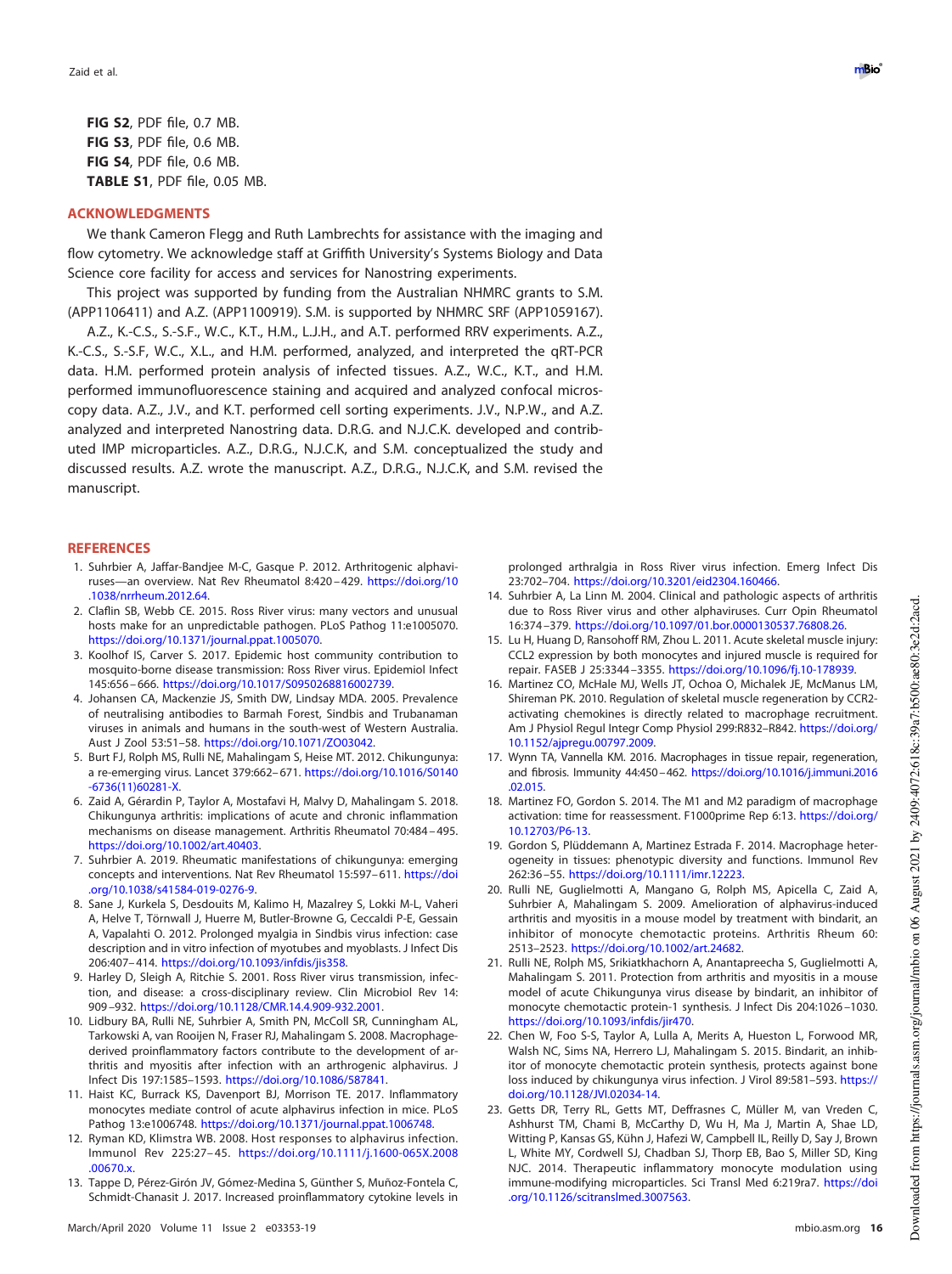**FIG S2**, PDF file, 0.7 MB. **FIG S3**, PDF file, 0.6 MB. **FIG S4**, PDF file, 0.6 MB. **TABLE S1**, PDF file, 0.05 MB.

# **ACKNOWLEDGMENTS**

We thank Cameron Flegg and Ruth Lambrechts for assistance with the imaging and flow cytometry. We acknowledge staff at Griffith University's Systems Biology and Data Science core facility for access and services for Nanostring experiments.

This project was supported by funding from the Australian NHMRC grants to S.M. (APP1106411) and A.Z. (APP1100919). S.M. is supported by NHMRC SRF (APP1059167).

A.Z., K.-C.S., S.-S.F., W.C., K.T., H.M., L.J.H., and A.T. performed RRV experiments. A.Z., K.-C.S., S.-S.F, W.C., X.L., and H.M. performed, analyzed, and interpreted the qRT-PCR data. H.M. performed protein analysis of infected tissues. A.Z., W.C., K.T., and H.M. performed immunofluorescence staining and acquired and analyzed confocal microscopy data. A.Z., J.V., and K.T. performed cell sorting experiments. J.V., N.P.W., and A.Z. analyzed and interpreted Nanostring data. D.R.G. and N.J.C.K. developed and contributed IMP microparticles. A.Z., D.R.G., N.J.C.K, and S.M. conceptualized the study and discussed results. A.Z. wrote the manuscript. A.Z., D.R.G., N.J.C.K, and S.M. revised the manuscript.

## <span id="page-15-0"></span>**REFERENCES**

- 1. Suhrbier A, Jaffar-Bandjee M-C, Gasque P. 2012. Arthritogenic alphaviruses—an overview. Nat Rev Rheumatol 8:420 – 429. https://doi.org/10 .1038/nrrheum.2012.64.
- <span id="page-15-1"></span>2. Claflin SB, Webb CE. 2015. Ross River virus: many vectors and unusual hosts make for an unpredictable pathogen. PLoS Pathog 11:e1005070. https://doi.org/10.1371/journal.ppat.1005070.
- <span id="page-15-2"></span>3. Koolhof IS, Carver S. 2017. Epidemic host community contribution to mosquito-borne disease transmission: Ross River virus. Epidemiol Infect 145:656 – 666. https://doi.org/10.1017/S0950268816002739.
- <span id="page-15-3"></span>4. Johansen CA, Mackenzie JS, Smith DW, Lindsay MDA. 2005. Prevalence of neutralising antibodies to Barmah Forest, Sindbis and Trubanaman viruses in animals and humans in the south-west of Western Australia. Aust J Zool 53:51–58. https://doi.org/10.1071/ZO03042.
- <span id="page-15-4"></span>5. Burt FJ, Rolph MS, Rulli NE, Mahalingam S, Heise MT. 2012. Chikungunya: a re-emerging virus. Lancet 379:662-671. https://doi.org/10.1016/S0140 -6736(11)60281-X.
- <span id="page-15-5"></span>6. Zaid A, Gérardin P, Taylor A, Mostafavi H, Malvy D, Mahalingam S. 2018. Chikungunya arthritis: implications of acute and chronic inflammation mechanisms on disease management. Arthritis Rheumatol 70:484 – 495. https://doi.org/10.1002/art.40403.
- <span id="page-15-7"></span><span id="page-15-6"></span>7. Suhrbier A. 2019. Rheumatic manifestations of chikungunya: emerging concepts and interventions. Nat Rev Rheumatol 15:597-611. https://doi .org/10.1038/s41584-019-0276-9.
- 8. Sane J, Kurkela S, Desdouits M, Kalimo H, Mazalrey S, Lokki M-L, Vaheri A, Helve T, Törnwall J, Huerre M, Butler-Browne G, Ceccaldi P-E, Gessain A, Vapalahti O. 2012. Prolonged myalgia in Sindbis virus infection: case description and in vitro infection of myotubes and myoblasts. J Infect Dis 206:407– 414. https://doi.org/10.1093/infdis/jis358.
- <span id="page-15-8"></span>9. Harley D, Sleigh A, Ritchie S. 2001. Ross River virus transmission, infection, and disease: a cross-disciplinary review. Clin Microbiol Rev 14: 909 –932. https://doi.org/10.1128/CMR.14.4.909-932.2001.
- <span id="page-15-9"></span>10. Lidbury BA, Rulli NE, Suhrbier A, Smith PN, McColl SR, Cunningham AL, Tarkowski A, van Rooijen N, Fraser RJ, Mahalingam S. 2008. Macrophagederived proinflammatory factors contribute to the development of arthritis and myositis after infection with an arthrogenic alphavirus. J Infect Dis 197:1585–1593. https://doi.org/10.1086/587841.
- <span id="page-15-11"></span><span id="page-15-10"></span>11. Haist KC, Burrack KS, Davenport BJ, Morrison TE. 2017. Inflammatory monocytes mediate control of acute alphavirus infection in mice. PLoS Pathog 13:e1006748. https://doi.org/10.1371/journal.ppat.1006748.
- <span id="page-15-12"></span>12. Ryman KD, Klimstra WB. 2008. Host responses to alphavirus infection. Immunol Rev 225:27– 45. https://doi.org/10.1111/j.1600-065X.2008 .00670.x.
- 13. Tappe D, Pérez-Girón JV, Gómez-Medina S, Günther S, Muñoz-Fontela C, Schmidt-Chanasit J. 2017. Increased proinflammatory cytokine levels in

prolonged arthralgia in Ross River virus infection. Emerg Infect Dis 23:702–704. https://doi.org/10.3201/eid2304.160466.

- <span id="page-15-13"></span>14. Suhrbier A, La Linn M. 2004. Clinical and pathologic aspects of arthritis due to Ross River virus and other alphaviruses. Curr Opin Rheumatol 16:374 –379. https://doi.org/10.1097/01.bor.0000130537.76808.26.
- <span id="page-15-14"></span>15. Lu H, Huang D, Ransohoff RM, Zhou L. 2011. Acute skeletal muscle injury: CCL2 expression by both monocytes and injured muscle is required for repair. FASEB J 25:3344 –3355. https://doi.org/10.1096/fj.10-178939.
- <span id="page-15-15"></span>16. Martinez CO, McHale MJ, Wells JT, Ochoa O, Michalek JE, McManus LM, Shireman PK. 2010. Regulation of skeletal muscle regeneration by CCR2 activating chemokines is directly related to macrophage recruitment. Am J Physiol Regul Integr Comp Physiol 299:R832–R842. https://doi.org/ 10.1152/ajpregu.00797.2009.
- <span id="page-15-16"></span>17. Wynn TA, Vannella KM. 2016. Macrophages in tissue repair, regeneration, and fibrosis. Immunity 44:450–462. https://doi.org/10.1016/j.immuni.2016 .02.015.
- <span id="page-15-17"></span>18. Martinez FO, Gordon S. 2014. The M1 and M2 paradigm of macrophage activation: time for reassessment. F1000prime Rep 6:13. https://doi.org/ 10.12703/P6-13.
- <span id="page-15-19"></span><span id="page-15-18"></span>19. Gordon S, Plüddemann A, Martinez Estrada F. 2014. Macrophage heterogeneity in tissues: phenotypic diversity and functions. Immunol Rev 262:36 –55. https://doi.org/10.1111/imr.12223.
- 20. Rulli NE, Guglielmotti A, Mangano G, Rolph MS, Apicella C, Zaid A, Suhrbier A, Mahalingam S. 2009. Amelioration of alphavirus-induced arthritis and myositis in a mouse model by treatment with bindarit, an inhibitor of monocyte chemotactic proteins. Arthritis Rheum 60: 2513–2523. https://doi.org/10.1002/art.24682.
- <span id="page-15-20"></span>21. Rulli NE, Rolph MS, Srikiatkhachorn A, Anantapreecha S, Guglielmotti A, Mahalingam S. 2011. Protection from arthritis and myositis in a mouse model of acute Chikungunya virus disease by bindarit, an inhibitor of monocyte chemotactic protein-1 synthesis. J Infect Dis 204:1026 –1030. https://doi.org/10.1093/infdis/jir470.
- <span id="page-15-21"></span>22. Chen W, Foo S-S, Taylor A, Lulla A, Merits A, Hueston L, Forwood MR, Walsh NC, Sims NA, Herrero LJ, Mahalingam S. 2015. Bindarit, an inhibitor of monocyte chemotactic protein synthesis, protects against bone loss induced by chikungunya virus infection. J Virol 89:581-593. https:// doi.org/10.1128/JVI.02034-14.
- <span id="page-15-22"></span>23. Getts DR, Terry RL, Getts MT, Deffrasnes C, Müller M, van Vreden C, Ashhurst TM, Chami B, McCarthy D, Wu H, Ma J, Martin A, Shae LD, Witting P, Kansas GS, Kühn J, Hafezi W, Campbell IL, Reilly D, Say J, Brown L, White MY, Cordwell SJ, Chadban SJ, Thorp EB, Bao S, Miller SD, King NJC. 2014. Therapeutic inflammatory monocyte modulation using immune-modifying microparticles. Sci Transl Med 6:219ra7. https://doi .org/10.1126/scitranslmed.3007563.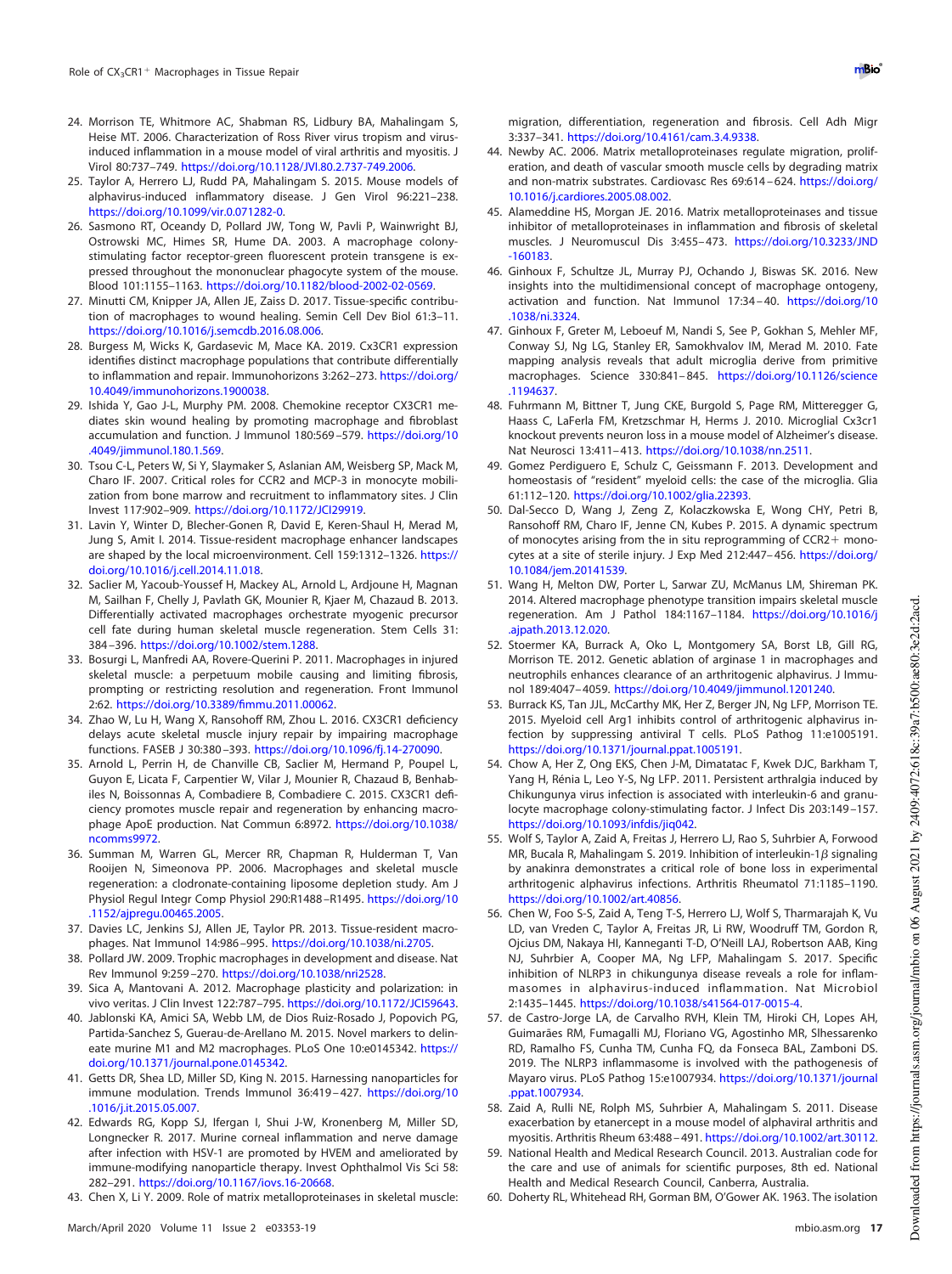- <span id="page-16-0"></span>24. Morrison TE, Whitmore AC, Shabman RS, Lidbury BA, Mahalingam S, Heise MT. 2006. Characterization of Ross River virus tropism and virusinduced inflammation in a mouse model of viral arthritis and myositis. J Virol 80:737–749. https://doi.org/10.1128/JVI.80.2.737-749.2006.
- <span id="page-16-1"></span>25. Taylor A, Herrero LJ, Rudd PA, Mahalingam S. 2015. Mouse models of alphavirus-induced inflammatory disease. J Gen Virol 96:221–238. https://doi.org/10.1099/vir.0.071282-0.
- <span id="page-16-2"></span>26. Sasmono RT, Oceandy D, Pollard JW, Tong W, Pavli P, Wainwright BJ, Ostrowski MC, Himes SR, Hume DA. 2003. A macrophage colonystimulating factor receptor-green fluorescent protein transgene is expressed throughout the mononuclear phagocyte system of the mouse. Blood 101:1155–1163. https://doi.org/10.1182/blood-2002-02-0569.
- <span id="page-16-3"></span>27. Minutti CM, Knipper JA, Allen JE, Zaiss D. 2017. Tissue-specific contribution of macrophages to wound healing. Semin Cell Dev Biol 61:3–11. https://doi.org/10.1016/j.semcdb.2016.08.006.
- <span id="page-16-4"></span>28. Burgess M, Wicks K, Gardasevic M, Mace KA. 2019. Cx3CR1 expression identifies distinct macrophage populations that contribute differentially to inflammation and repair. Immunohorizons 3:262-273. https://doi.org/ 10.4049/immunohorizons.1900038.
- <span id="page-16-5"></span>29. Ishida Y, Gao J-L, Murphy PM. 2008. Chemokine receptor CX3CR1 mediates skin wound healing by promoting macrophage and fibroblast accumulation and function. J Immunol 180:569 –579. https://doi.org/10 .4049/jimmunol.180.1.569.
- <span id="page-16-6"></span>30. Tsou C-L, Peters W, Si Y, Slaymaker S, Aslanian AM, Weisberg SP, Mack M, Charo IF. 2007. Critical roles for CCR2 and MCP-3 in monocyte mobilization from bone marrow and recruitment to inflammatory sites. J Clin Invest 117:902–909. https://doi.org/10.1172/JCI29919.
- <span id="page-16-7"></span>31. Lavin Y, Winter D, Blecher-Gonen R, David E, Keren-Shaul H, Merad M, Jung S, Amit I. 2014. Tissue-resident macrophage enhancer landscapes are shaped by the local microenvironment. Cell 159:1312–1326. https:// doi.org/10.1016/j.cell.2014.11.018.
- <span id="page-16-8"></span>32. Saclier M, Yacoub-Youssef H, Mackey AL, Arnold L, Ardjoune H, Magnan M, Sailhan F, Chelly J, Pavlath GK, Mounier R, Kjaer M, Chazaud B. 2013. Differentially activated macrophages orchestrate myogenic precursor cell fate during human skeletal muscle regeneration. Stem Cells 31: 384 –396. https://doi.org/10.1002/stem.1288.
- <span id="page-16-9"></span>33. Bosurgi L, Manfredi AA, Rovere-Querini P. 2011. Macrophages in injured skeletal muscle: a perpetuum mobile causing and limiting fibrosis, prompting or restricting resolution and regeneration. Front Immunol 2:62. https://doi.org/10.3389/fimmu.2011.00062.
- <span id="page-16-10"></span>34. Zhao W, Lu H, Wang X, Ransohoff RM, Zhou L. 2016. CX3CR1 deficiency delays acute skeletal muscle injury repair by impairing macrophage functions. FASEB J 30:380 –393. https://doi.org/10.1096/fj.14-270090.
- <span id="page-16-11"></span>35. Arnold L, Perrin H, de Chanville CB, Saclier M, Hermand P, Poupel L, Guyon E, Licata F, Carpentier W, Vilar J, Mounier R, Chazaud B, Benhabiles N, Boissonnas A, Combadiere B, Combadiere C. 2015. CX3CR1 deficiency promotes muscle repair and regeneration by enhancing macrophage ApoE production. Nat Commun 6:8972. https://doi.org/10.1038/ ncomms9972.
- <span id="page-16-12"></span>36. Summan M, Warren GL, Mercer RR, Chapman R, Hulderman T, Van Rooijen N, Simeonova PP. 2006. Macrophages and skeletal muscle regeneration: a clodronate-containing liposome depletion study. Am J Physiol Regul Integr Comp Physiol 290:R1488 –R1495. https://doi.org/10 .1152/ajpregu.00465.2005.
- <span id="page-16-14"></span><span id="page-16-13"></span>37. Davies LC, Jenkins SJ, Allen JE, Taylor PR. 2013. Tissue-resident macrophages. Nat Immunol 14:986 –995. https://doi.org/10.1038/ni.2705.
- <span id="page-16-15"></span>38. Pollard JW. 2009. Trophic macrophages in development and disease. Nat Rev Immunol 9:259 –270. https://doi.org/10.1038/nri2528.
- <span id="page-16-16"></span>39. Sica A, Mantovani A. 2012. Macrophage plasticity and polarization: in vivo veritas. J Clin Invest 122:787–795. https://doi.org/10.1172/JCI59643.
- 40. Jablonski KA, Amici SA, Webb LM, de Dios Ruiz-Rosado J, Popovich PG, Partida-Sanchez S, Guerau-de-Arellano M. 2015. Novel markers to delineate murine M1 and M2 macrophages. PLoS One 10:e0145342. https:// doi.org/10.1371/journal.pone.0145342.
- <span id="page-16-18"></span><span id="page-16-17"></span>41. Getts DR, Shea LD, Miller SD, King N. 2015. Harnessing nanoparticles for immune modulation. Trends Immunol 36:419 – 427. https://doi.org/10 .1016/j.it.2015.05.007.
- 42. Edwards RG, Kopp SJ, Ifergan I, Shui J-W, Kronenberg M, Miller SD, Longnecker R. 2017. Murine corneal inflammation and nerve damage after infection with HSV-1 are promoted by HVEM and ameliorated by immune-modifying nanoparticle therapy. Invest Ophthalmol Vis Sci 58: 282–291. https://doi.org/10.1167/iovs.16-20668.
- <span id="page-16-19"></span>43. Chen X, Li Y. 2009. Role of matrix metalloproteinases in skeletal muscle:

migration, differentiation, regeneration and fibrosis. Cell Adh Migr 3:337–341. https://doi.org/10.4161/cam.3.4.9338.

- <span id="page-16-20"></span>44. Newby AC. 2006. Matrix metalloproteinases regulate migration, proliferation, and death of vascular smooth muscle cells by degrading matrix and non-matrix substrates. Cardiovasc Res 69:614 – 624. https://doi.org/ 10.1016/j.cardiores.2005.08.002.
- <span id="page-16-21"></span>45. Alameddine HS, Morgan JE. 2016. Matrix metalloproteinases and tissue inhibitor of metalloproteinases in inflammation and fibrosis of skeletal muscles. J Neuromuscul Dis 3:455– 473. https://doi.org/10.3233/JND -160183.
- <span id="page-16-22"></span>46. Ginhoux F, Schultze JL, Murray PJ, Ochando J, Biswas SK. 2016. New insights into the multidimensional concept of macrophage ontogeny, activation and function. Nat Immunol 17:34 – 40. https://doi.org/10 .1038/ni.3324.
- <span id="page-16-23"></span>47. Ginhoux F, Greter M, Leboeuf M, Nandi S, See P, Gokhan S, Mehler MF, Conway SJ, Ng LG, Stanley ER, Samokhvalov IM, Merad M. 2010. Fate mapping analysis reveals that adult microglia derive from primitive macrophages. Science 330:841– 845. https://doi.org/10.1126/science .1194637.
- <span id="page-16-24"></span>48. Fuhrmann M, Bittner T, Jung CKE, Burgold S, Page RM, Mitteregger G, Haass C, LaFerla FM, Kretzschmar H, Herms J. 2010. Microglial Cx3cr1 knockout prevents neuron loss in a mouse model of Alzheimer's disease. Nat Neurosci 13:411– 413. https://doi.org/10.1038/nn.2511.
- <span id="page-16-25"></span>49. Gomez Perdiguero E, Schulz C, Geissmann F. 2013. Development and homeostasis of "resident" myeloid cells: the case of the microglia. Glia 61:112–120. https://doi.org/10.1002/glia.22393.
- <span id="page-16-26"></span>50. Dal-Secco D, Wang J, Zeng Z, Kolaczkowska E, Wong CHY, Petri B, Ransohoff RM, Charo IF, Jenne CN, Kubes P. 2015. A dynamic spectrum of monocytes arising from the in situ reprogramming of CCR2+ monocytes at a site of sterile injury. J Exp Med 212:447– 456. https://doi.org/ 10.1084/jem.20141539.
- <span id="page-16-27"></span>51. Wang H, Melton DW, Porter L, Sarwar ZU, McManus LM, Shireman PK. 2014. Altered macrophage phenotype transition impairs skeletal muscle regeneration. Am J Pathol 184:1167–1184. https://doi.org/10.1016/j .ajpath.2013.12.020.
- <span id="page-16-28"></span>52. Stoermer KA, Burrack A, Oko L, Montgomery SA, Borst LB, Gill RG, Morrison TE. 2012. Genetic ablation of arginase 1 in macrophages and neutrophils enhances clearance of an arthritogenic alphavirus. J Immunol 189:4047– 4059. https://doi.org/10.4049/jimmunol.1201240.
- <span id="page-16-29"></span>53. Burrack KS, Tan JJL, McCarthy MK, Her Z, Berger JN, Ng LFP, Morrison TE. 2015. Myeloid cell Arg1 inhibits control of arthritogenic alphavirus infection by suppressing antiviral T cells. PLoS Pathog 11:e1005191. https://doi.org/10.1371/journal.ppat.1005191.
- <span id="page-16-30"></span>54. Chow A, Her Z, Ong EKS, Chen J-M, Dimatatac F, Kwek DJC, Barkham T, Yang H, Rénia L, Leo Y-S, Ng LFP. 2011. Persistent arthralgia induced by Chikungunya virus infection is associated with interleukin-6 and granulocyte macrophage colony-stimulating factor. J Infect Dis 203:149 –157. https://doi.org/10.1093/infdis/jiq042.
- 55. Wolf S, Taylor A, Zaid A, Freitas J, Herrero LJ, Rao S, Suhrbier A, Forwood MR, Bucala R, Mahalingam S. 2019. Inhibition of interleukin-1 $\beta$  signaling by anakinra demonstrates a critical role of bone loss in experimental arthritogenic alphavirus infections. Arthritis Rheumatol 71:1185–1190. https://doi.org/10.1002/art.40856.
- 56. Chen W, Foo S-S, Zaid A, Teng T-S, Herrero LJ, Wolf S, Tharmarajah K, Vu LD, van Vreden C, Taylor A, Freitas JR, Li RW, Woodruff TM, Gordon R, Ojcius DM, Nakaya HI, Kanneganti T-D, O'Neill LAJ, Robertson AAB, King NJ, Suhrbier A, Cooper MA, Ng LFP, Mahalingam S. 2017. Specific inhibition of NLRP3 in chikungunya disease reveals a role for inflammasomes in alphavirus-induced inflammation. Nat Microbiol 2:1435–1445. https://doi.org/10.1038/s41564-017-0015-4.
- <span id="page-16-31"></span>57. de Castro-Jorge LA, de Carvalho RVH, Klein TM, Hiroki CH, Lopes AH, Guimarães RM, Fumagalli MJ, Floriano VG, Agostinho MR, Slhessarenko RD, Ramalho FS, Cunha TM, Cunha FQ, da Fonseca BAL, Zamboni DS. 2019. The NLRP3 inflammasome is involved with the pathogenesis of Mayaro virus. PLoS Pathog 15:e1007934. https://doi.org/10.1371/journal .ppat.1007934.
- <span id="page-16-33"></span><span id="page-16-32"></span>58. Zaid A, Rulli NE, Rolph MS, Suhrbier A, Mahalingam S. 2011. Disease exacerbation by etanercept in a mouse model of alphaviral arthritis and myositis. Arthritis Rheum 63:488 – 491. https://doi.org/10.1002/art.30112.
- <span id="page-16-34"></span>59. National Health and Medical Research Council. 2013. Australian code for the care and use of animals for scientific purposes, 8th ed. National Health and Medical Research Council, Canberra, Australia.
- 60. Doherty RL, Whitehead RH, Gorman BM, O'Gower AK. 1963. The isolation